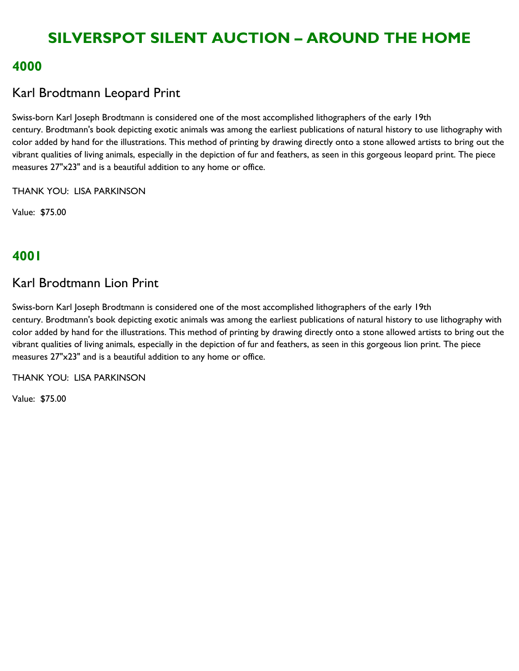### **4000**

## Karl Brodtmann Leopard Print

Swiss-born Karl Joseph Brodtmann is considered one of the most accomplished lithographers of the early 19th century. Brodtmann's book depicting exotic animals was among the earliest publications of natural history to use lithography with color added by hand for the illustrations. This method of printing by drawing directly onto a stone allowed artists to bring out the vibrant qualities of living animals, especially in the depiction of fur and feathers, as seen in this gorgeous leopard print. The piece measures 27"x23" and is a beautiful addition to any home or office.

THANK YOU: LISA PARKINSON

Value: \$75.00

# **4001**

## Karl Brodtmann Lion Print

Swiss-born Karl Joseph Brodtmann is considered one of the most accomplished lithographers of the early 19th century. Brodtmann's book depicting exotic animals was among the earliest publications of natural history to use lithography with color added by hand for the illustrations. This method of printing by drawing directly onto a stone allowed artists to bring out the vibrant qualities of living animals, especially in the depiction of fur and feathers, as seen in this gorgeous lion print. The piece measures 27"x23" and is a beautiful addition to any home or office.

THANK YOU: LISA PARKINSON

Value: \$75.00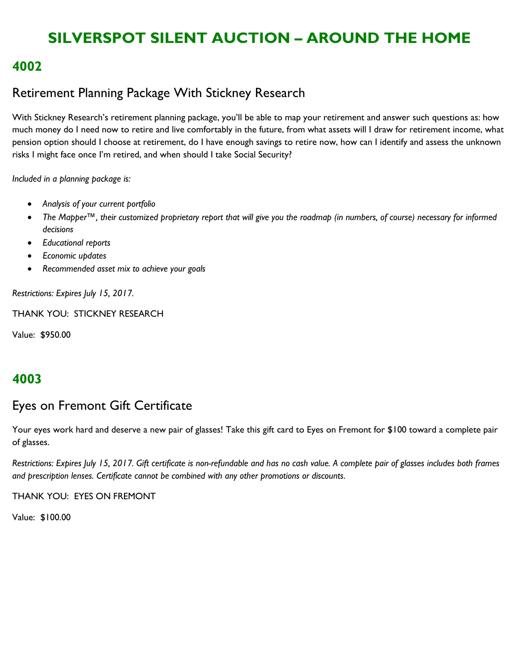### **4002**

# Retirement Planning Package With Stickney Research

With Stickney Research's retirement planning package, you'll be able to map your retirement and answer such questions as: how much money do I need now to retire and live comfortably in the future, from what assets will I draw for retirement income, what pension option should I choose at retirement, do I have enough savings to retire now, how can I identify and assess the unknown risks I might face once I'm retired, and when should I take Social Security?

*Included in a planning package is:*

- *Analysis of your current portfolio*
- *The Mapper™, their customized proprietary report that will give you the roadmap (in numbers, of course) necessary for informed decisions*
- *Educational reports*
- *Economic updates*
- *Recommended asset mix to achieve your goals*

*Restrictions: Expires July 15, 2017.*

THANK YOU: STICKNEY RESEARCH

Value: \$950.00

### **4003**

### Eyes on Fremont Gift Certificate

Your eyes work hard and deserve a new pair of glasses! Take this gift card to Eyes on Fremont for \$100 toward a complete pair of glasses.

*Restrictions: Expires July 15, 2017. Gift certificate is non-refundable and has no cash value. A complete pair of glasses includes both frames and prescription lenses. Certificate cannot be combined with any other promotions or discounts.*

THANK YOU: EYES ON FREMONT

Value: \$100.00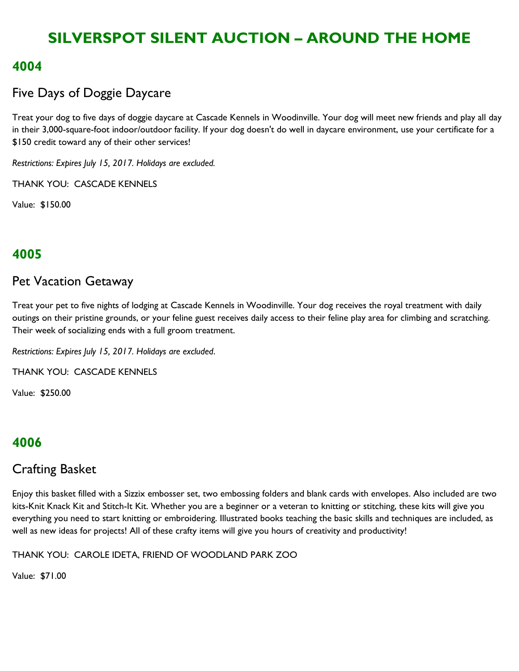### **4004**

## Five Days of Doggie Daycare

Treat your dog to five days of doggie daycare at Cascade Kennels in Woodinville. Your dog will meet new friends and play all day in their 3,000-square-foot indoor/outdoor facility. If your dog doesn't do well in daycare environment, use your certificate for a \$150 credit toward any of their other services!

*Restrictions: Expires July 15, 2017. Holidays are excluded.*

THANK YOU: CASCADE KENNELS

Value: \$150.00

## **4005**

#### Pet Vacation Getaway

Treat your pet to five nights of lodging at Cascade Kennels in Woodinville. Your dog receives the royal treatment with daily outings on their pristine grounds, or your feline guest receives daily access to their feline play area for climbing and scratching. Their week of socializing ends with a full groom treatment.

*Restrictions: Expires July 15, 2017. Holidays are excluded*.

THANK YOU: CASCADE KENNELS

Value: \$250.00

### **4006**

### Crafting Basket

Enjoy this basket filled with a Sizzix embosser set, two embossing folders and blank cards with envelopes. Also included are two kits-Knit Knack Kit and Stitch-It Kit. Whether you are a beginner or a veteran to knitting or stitching, these kits will give you everything you need to start knitting or embroidering. Illustrated books teaching the basic skills and techniques are included, as well as new ideas for projects! All of these crafty items will give you hours of creativity and productivity!

THANK YOU: CAROLE IDETA, FRIEND OF WOODLAND PARK ZOO

Value: \$71.00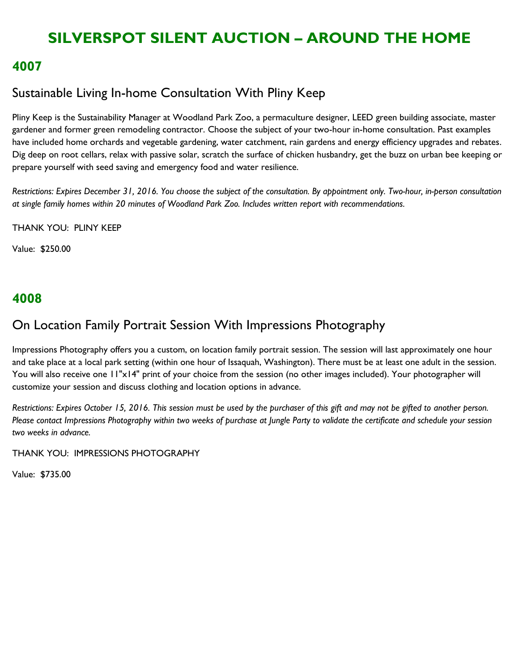#### **4007**

## Sustainable Living In-home Consultation With Pliny Keep

Pliny Keep is the Sustainability Manager at Woodland Park Zoo, a permaculture designer, LEED green building associate, master gardener and former green remodeling contractor. Choose the subject of your two-hour in-home consultation. Past examples have included home orchards and vegetable gardening, water catchment, rain gardens and energy efficiency upgrades and rebates. Dig deep on root cellars, relax with passive solar, scratch the surface of chicken husbandry, get the buzz on urban bee keeping or prepare yourself with seed saving and emergency food and water resilience.

*Restrictions: Expires December 31, 2016. You choose the subject of the consultation. By appointment only. Two-hour, in-person consultation at single family homes within 20 minutes of Woodland Park Zoo. Includes written report with recommendations.*

THANK YOU: PLINY KEEP

Value: \$250.00

### **4008**

### On Location Family Portrait Session With Impressions Photography

Impressions Photography offers you a custom, on location family portrait session. The session will last approximately one hour and take place at a local park setting (within one hour of Issaquah, Washington). There must be at least one adult in the session. You will also receive one 11"x14" print of your choice from the session (no other images included). Your photographer will customize your session and discuss clothing and location options in advance.

*Restrictions: Expires October 15, 2016. This session must be used by the purchaser of this gift and may not be gifted to another person. Please contact Impressions Photography within two weeks of purchase at Jungle Party to validate the certificate and schedule your session two weeks in advance.*

THANK YOU: IMPRESSIONS PHOTOGRAPHY

Value: \$735.00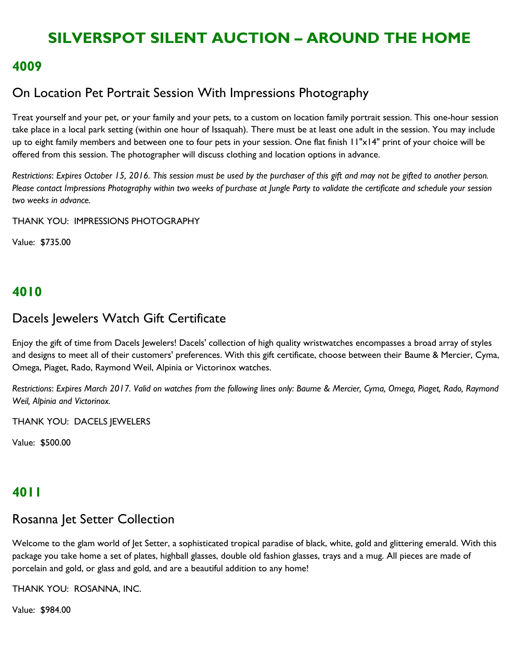#### **4009**

### On Location Pet Portrait Session With Impressions Photography

Treat yourself and your pet, or your family and your pets, to a custom on location family portrait session. This one-hour session take place in a local park setting (within one hour of Issaquah). There must be at least one adult in the session. You may include up to eight family members and between one to four pets in your session. One flat finish 11"x14" print of your choice will be offered from this session. The photographer will discuss clothing and location options in advance.

*Restrictions*: *Expires October 15, 2016. This session must be used by the purchaser of this gift and may not be gifted to another person. Please contact Impressions Photography within two weeks of purchase at Jungle Party to validate the certificate and schedule your session two weeks in advance.*

THANK YOU: IMPRESSIONS PHOTOGRAPHY

Value: \$735.00

### **4010**

#### Dacels Jewelers Watch Gift Certificate

Enjoy the gift of time from Dacels Jewelers! Dacels' collection of high quality wristwatches encompasses a broad array of styles and designs to meet all of their customers' preferences. With this gift certificate, choose between their Baume & Mercier, Cyma, Omega, Piaget, Rado, Raymond Weil, Alpinia or Victorinox watches.

*Restrictions*: *Expires March 2017. Valid on watches from the following lines only: Baume & Mercier, Cyma, Omega, Piaget, Rado, Raymond Weil, Alpinia and Victorinox.*

THANK YOU: DACELS JEWELERS

Value: \$500.00

### **4011**

### Rosanna Jet Setter Collection

Welcome to the glam world of Jet Setter, a sophisticated tropical paradise of black, white, gold and glittering emerald. With this package you take home a set of plates, highball glasses, double old fashion glasses, trays and a mug. All pieces are made of porcelain and gold, or glass and gold, and are a beautiful addition to any home!

THANK YOU: ROSANNA, INC.

Value: \$984.00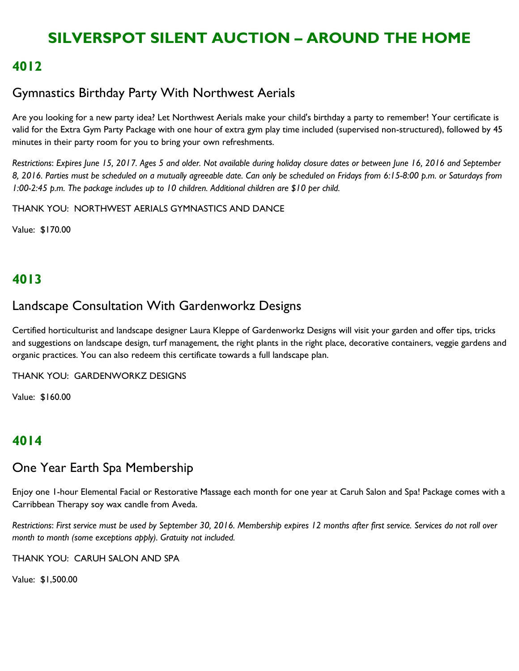### **4012**

## Gymnastics Birthday Party With Northwest Aerials

Are you looking for a new party idea? Let Northwest Aerials make your child's birthday a party to remember! Your certificate is valid for the Extra Gym Party Package with one hour of extra gym play time included (supervised non-structured), followed by 45 minutes in their party room for you to bring your own refreshments.

*Restrictions*: *Expires June 15, 2017. Ages 5 and older. Not available during holiday closure dates or between June 16, 2016 and September 8, 2016. Parties must be scheduled on a mutually agreeable date. Can only be scheduled on Fridays from 6:15-8:00 p.m. or Saturdays from 1:00-2:45 p.m. The package includes up to 10 children. Additional children are \$10 per child.*

THANK YOU: NORTHWEST AERIALS GYMNASTICS AND DANCE

Value: \$170.00

## **4013**

### Landscape Consultation With Gardenworkz Designs

Certified horticulturist and landscape designer Laura Kleppe of Gardenworkz Designs will visit your garden and offer tips, tricks and suggestions on landscape design, turf management, the right plants in the right place, decorative containers, veggie gardens and organic practices. You can also redeem this certificate towards a full landscape plan.

THANK YOU: GARDENWORKZ DESIGNS

Value: \$160.00

## **4014**

### One Year Earth Spa Membership

Enjoy one 1-hour Elemental Facial or Restorative Massage each month for one year at Caruh Salon and Spa! Package comes with a Carribbean Therapy soy wax candle from Aveda.

*Restrictions*: *First service must be used by September 30, 2016. Membership expires 12 months after first service. Services do not roll over month to month (some exceptions apply). Gratuity not included.*

THANK YOU: CARUH SALON AND SPA

Value: \$1,500.00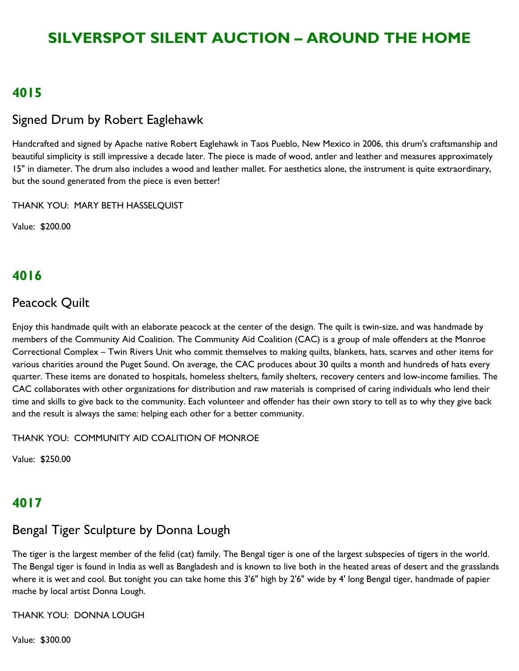### **4015**

### Signed Drum by Robert Eaglehawk

Handcrafted and signed by Apache native Robert Eaglehawk in Taos Pueblo, New Mexico in 2006, this drum's craftsmanship and beautiful simplicity is still impressive a decade later. The piece is made of wood, antler and leather and measures approximately 15" in diameter. The drum also includes a wood and leather mallet. For aesthetics alone, the instrument is quite extraordinary, but the sound generated from the piece is even better!

THANK YOU: MARY BETH HASSELQUIST

Value: \$200.00

### **4016**

#### Peacock Quilt

Enjoy this handmade quilt with an elaborate peacock at the center of the design. The quilt is twin-size, and was handmade by members of the Community Aid Coalition. The Community Aid Coalition (CAC) is a group of male offenders at the Monroe Correctional Complex – Twin Rivers Unit who commit themselves to making quilts, blankets, hats, scarves and other items for various charities around the Puget Sound. On average, the CAC produces about 30 quilts a month and hundreds of hats every quarter. These items are donated to hospitals, homeless shelters, family shelters, recovery centers and low-income families. The CAC collaborates with other organizations for distribution and raw materials is comprised of caring individuals who lend their time and skills to give back to the community. Each volunteer and offender has their own story to tell as to why they give back and the result is always the same: helping each other for a better community.

THANK YOU: COMMUNITY AID COALITION OF MONROE

Value: \$250.00

### **4017**

### Bengal Tiger Sculpture by Donna Lough

The tiger is the largest member of the felid (cat) family. The Bengal tiger is one of the largest subspecies of tigers in the world. The Bengal tiger is found in India as well as Bangladesh and is known to live both in the heated areas of desert and the grasslands where it is wet and cool. But tonight you can take home this 3'6" high by 2'6" wide by 4' long Bengal tiger, handmade of papier mache by local artist Donna Lough.

THANK YOU: DONNA LOUGH

Value: \$300.00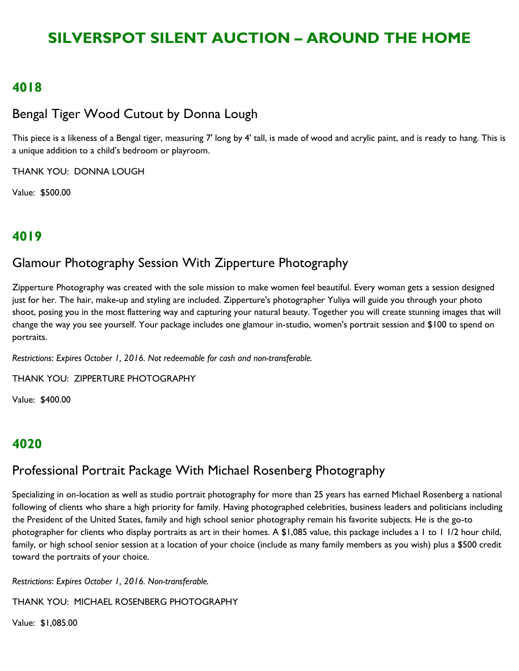#### **4018**

### Bengal Tiger Wood Cutout by Donna Lough

This piece is a likeness of a Bengal tiger, measuring 7' long by 4' tall, is made of wood and acrylic paint, and is ready to hang. This is a unique addition to a child's bedroom or playroom.

THANK YOU: DONNA LOUGH

Value: \$500.00

## **4019**

## Glamour Photography Session With Zipperture Photography

Zipperture Photography was created with the sole mission to make women feel beautiful. Every woman gets a session designed just for her. The hair, make-up and styling are included. Zipperture's photographer Yuliya will guide you through your photo shoot, posing you in the most flattering way and capturing your natural beauty. Together you will create stunning images that will change the way you see yourself. Your package includes one glamour in-studio, women's portrait session and \$100 to spend on portraits.

*Restrictions*: *Expires October 1, 2016. Not redeemable for cash and non-transferable.*

THANK YOU: ZIPPERTURE PHOTOGRAPHY

Value: \$400.00

### **4020**

## Professional Portrait Package With Michael Rosenberg Photography

Specializing in on-location as well as studio portrait photography for more than 25 years has earned Michael Rosenberg a national following of clients who share a high priority for family. Having photographed celebrities, business leaders and politicians including the President of the United States, family and high school senior photography remain his favorite subjects. He is the go-to photographer for clients who display portraits as art in their homes. A \$1,085 value, this package includes a 1 to 1 1/2 hour child, family, or high school senior session at a location of your choice (include as many family members as you wish) plus a \$500 credit toward the portraits of your choice.

*Restrictions*: *Expires October 1, 2016. Non-transferable.*

THANK YOU: MICHAEL ROSENBERG PHOTOGRAPHY

Value: \$1,085.00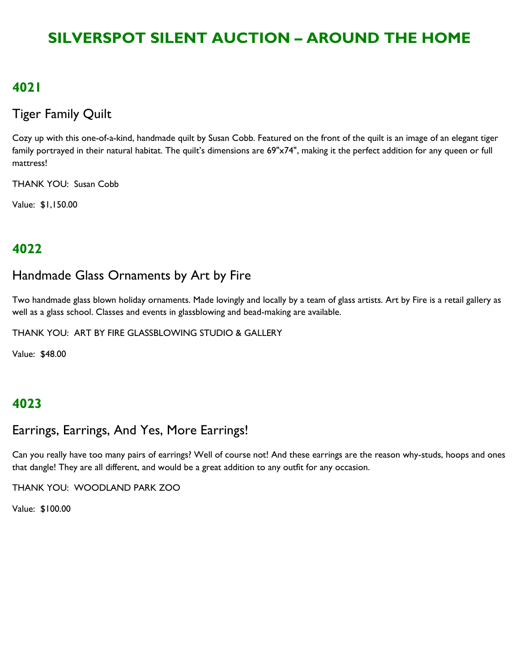### **4021**

### Tiger Family Quilt

Cozy up with this one-of-a-kind, handmade quilt by Susan Cobb. Featured on the front of the quilt is an image of an elegant tiger family portrayed in their natural habitat. The quilt's dimensions are 69"x74", making it the perfect addition for any queen or full mattress!

THANK YOU: Susan Cobb

Value: \$1,150.00

## **4022**

## Handmade Glass Ornaments by Art by Fire

Two handmade glass blown holiday ornaments. Made lovingly and locally by a team of glass artists. Art by Fire is a retail gallery as well as a glass school. Classes and events in glassblowing and bead-making are available.

THANK YOU: ART BY FIRE GLASSBLOWING STUDIO & GALLERY

Value: \$48.00

### **4023**

## Earrings, Earrings, And Yes, More Earrings!

Can you really have too many pairs of earrings? Well of course not! And these earrings are the reason why-studs, hoops and ones that dangle! They are all different, and would be a great addition to any outfit for any occasion.

THANK YOU: WOODLAND PARK ZOO

Value: \$100.00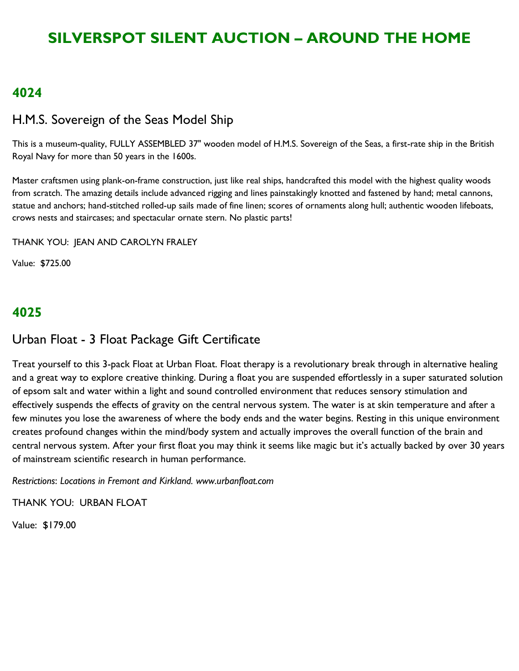#### **4024**

#### H.M.S. Sovereign of the Seas Model Ship

This is a museum-quality, FULLY ASSEMBLED 37" wooden model of H.M.S. Sovereign of the Seas, a first-rate ship in the British Royal Navy for more than 50 years in the 1600s.

Master craftsmen using plank-on-frame construction, just like real ships, handcrafted this model with the highest quality woods from scratch. The amazing details include advanced rigging and lines painstakingly knotted and fastened by hand; metal cannons, statue and anchors; hand-stitched rolled-up sails made of fine linen; scores of ornaments along hull; authentic wooden lifeboats, crows nests and staircases; and spectacular ornate stern. No plastic parts!

THANK YOU: JEAN AND CAROLYN FRALEY

Value: \$725.00

### **4025**

### Urban Float - 3 Float Package Gift Certificate

Treat yourself to this 3-pack Float at Urban Float. Float therapy is a revolutionary break through in alternative healing and a great way to explore creative thinking. During a float you are suspended effortlessly in a super saturated solution of epsom salt and water within a light and sound controlled environment that reduces sensory stimulation and effectively suspends the effects of gravity on the central nervous system. The water is at skin temperature and after a few minutes you lose the awareness of where the body ends and the water begins. Resting in this unique environment creates profound changes within the mind/body system and actually improves the overall function of the brain and central nervous system. After your first float you may think it seems like magic but it's actually backed by over 30 years of mainstream scientific research in human performance.

*Restrictions*: *Locations in Fremont and Kirkland. www.urbanfloat.com*

THANK YOU: URBAN FLOAT

Value: \$179.00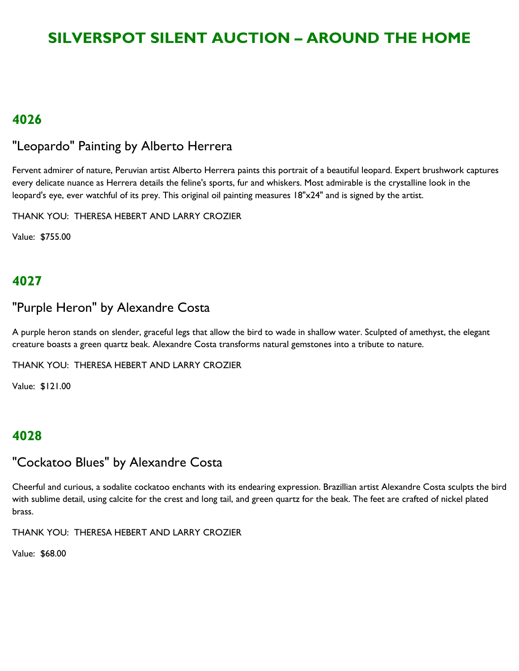### **4026**

### "Leopardo" Painting by Alberto Herrera

Fervent admirer of nature, Peruvian artist Alberto Herrera paints this portrait of a beautiful leopard. Expert brushwork captures every delicate nuance as Herrera details the feline's sports, fur and whiskers. Most admirable is the crystalline look in the leopard's eye, ever watchful of its prey. This original oil painting measures 18"x24" and is signed by the artist.

THANK YOU: THERESA HEBERT AND LARRY CROZIER

Value: \$755.00

## **4027**

#### "Purple Heron" by Alexandre Costa

A purple heron stands on slender, graceful legs that allow the bird to wade in shallow water. Sculpted of amethyst, the elegant creature boasts a green quartz beak. Alexandre Costa transforms natural gemstones into a tribute to nature.

THANK YOU: THERESA HEBERT AND LARRY CROZIER

Value: \$121.00

## **4028**

### "Cockatoo Blues" by Alexandre Costa

Cheerful and curious, a sodalite cockatoo enchants with its endearing expression. Brazillian artist Alexandre Costa sculpts the bird with sublime detail, using calcite for the crest and long tail, and green quartz for the beak. The feet are crafted of nickel plated brass.

THANK YOU: THERESA HEBERT AND LARRY CROZIER

Value: \$68.00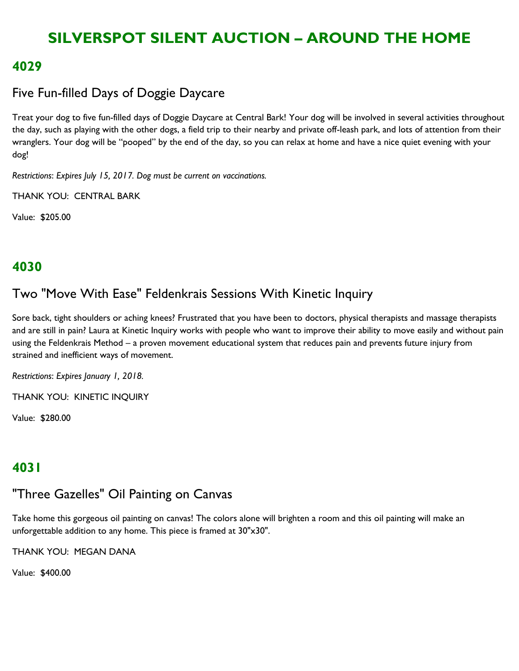#### **4029**

## Five Fun-filled Days of Doggie Daycare

Treat your dog to five fun-filled days of Doggie Daycare at Central Bark! Your dog will be involved in several activities throughout the day, such as playing with the other dogs, a field trip to their nearby and private off-leash park, and lots of attention from their wranglers. Your dog will be "pooped" by the end of the day, so you can relax at home and have a nice quiet evening with your dog!

*Restrictions*: *Expires July 15, 2017. Dog must be current on vaccinations.*

THANK YOU: CENTRAL BARK

Value: \$205.00

### **4030**

## Two "Move With Ease" Feldenkrais Sessions With Kinetic Inquiry

Sore back, tight shoulders or aching knees? Frustrated that you have been to doctors, physical therapists and massage therapists and are still in pain? Laura at Kinetic Inquiry works with people who want to improve their ability to move easily and without pain using the Feldenkrais Method – a proven movement educational system that reduces pain and prevents future injury from strained and inefficient ways of movement.

*Restrictions*: *Expires January 1, 2018.*

THANK YOU: KINETIC INQUIRY

Value: \$280.00

## **4031**

## "Three Gazelles" Oil Painting on Canvas

Take home this gorgeous oil painting on canvas! The colors alone will brighten a room and this oil painting will make an unforgettable addition to any home. This piece is framed at 30"x30".

THANK YOU: MEGAN DANA

Value: \$400.00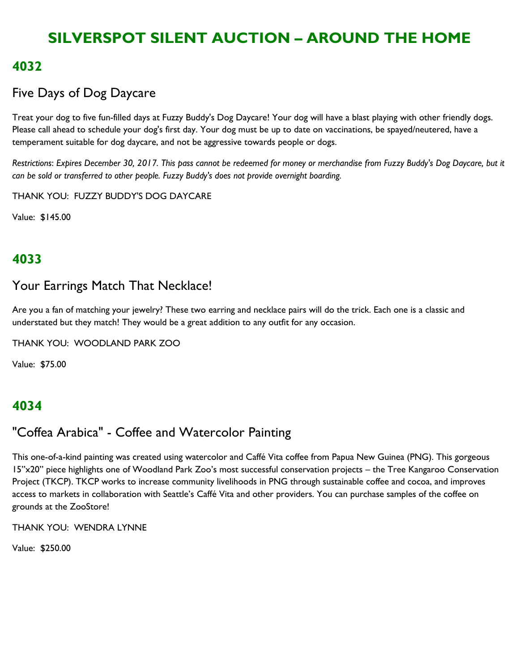### **4032**

## Five Days of Dog Daycare

Treat your dog to five fun-filled days at Fuzzy Buddy's Dog Daycare! Your dog will have a blast playing with other friendly dogs. Please call ahead to schedule your dog's first day. Your dog must be up to date on vaccinations, be spayed/neutered, have a temperament suitable for dog daycare, and not be aggressive towards people or dogs.

*Restrictions*: *Expires December 30, 2017. This pass cannot be redeemed for money or merchandise from Fuzzy Buddy's Dog Daycare, but it can be sold or transferred to other people. Fuzzy Buddy's does not provide overnight boarding.*

THANK YOU: FUZZY BUDDY'S DOG DAYCARE

Value: \$145.00

## **4033**

### Your Earrings Match That Necklace!

Are you a fan of matching your jewelry? These two earring and necklace pairs will do the trick. Each one is a classic and understated but they match! They would be a great addition to any outfit for any occasion.

THANK YOU: WOODLAND PARK ZOO

Value: \$75.00

### **4034**

### "Coffea Arabica" - Coffee and Watercolor Painting

This one-of-a-kind painting was created using watercolor and Caffé Vita coffee from Papua New Guinea (PNG). This gorgeous 15"x20" piece highlights one of Woodland Park Zoo's most successful conservation projects – the Tree Kangaroo Conservation Project (TKCP). TKCP works to increase community livelihoods in PNG through sustainable coffee and cocoa, and improves access to markets in collaboration with Seattle's Caffé Vita and other providers. You can purchase samples of the coffee on grounds at the ZooStore!

THANK YOU: WENDRA LYNNE

Value: \$250.00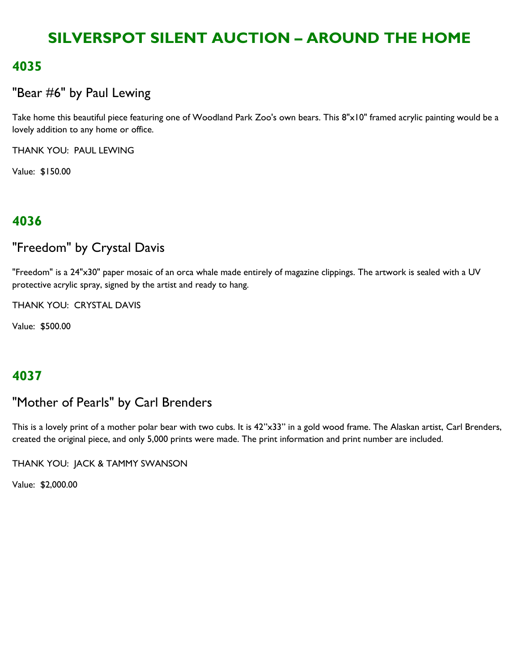### **4035**

## "Bear #6" by Paul Lewing

Take home this beautiful piece featuring one of Woodland Park Zoo's own bears. This 8"x10" framed acrylic painting would be a lovely addition to any home or office.

THANK YOU: PAUL LEWING

Value: \$150.00

### **4036**

### "Freedom" by Crystal Davis

"Freedom" is a 24"x30" paper mosaic of an orca whale made entirely of magazine clippings. The artwork is sealed with a UV protective acrylic spray, signed by the artist and ready to hang.

THANK YOU: CRYSTAL DAVIS

Value: \$500.00

### **4037**

### "Mother of Pearls" by Carl Brenders

This is a lovely print of a mother polar bear with two cubs. It is 42"x33" in a gold wood frame. The Alaskan artist, Carl Brenders, created the original piece, and only 5,000 prints were made. The print information and print number are included.

THANK YOU: JACK & TAMMY SWANSON

Value: \$2,000.00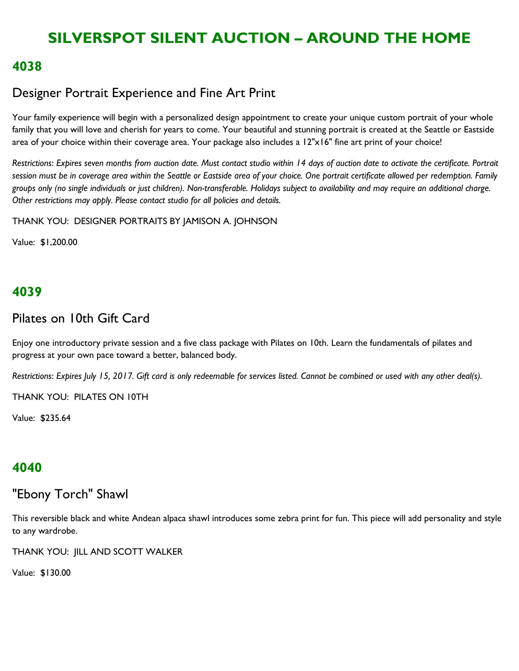#### **4038**

### Designer Portrait Experience and Fine Art Print

Your family experience will begin with a personalized design appointment to create your unique custom portrait of your whole family that you will love and cherish for years to come. Your beautiful and stunning portrait is created at the Seattle or Eastside area of your choice within their coverage area. Your package also includes a 12"x16" fine art print of your choice!

*Restrictions*: *Expires seven months from auction date. Must contact studio within 14 days of auction date to activate the certificate. Portrait session must be in coverage area within the Seattle or Eastside area of your choice. One portrait certificate allowed per redemption. Family groups only (no single individuals or just children). Non-transferable. Holidays subject to availability and may require an additional charge. Other restrictions may apply. Please contact studio for all policies and details.*

THANK YOU: DESIGNER PORTRAITS BY JAMISON A. JOHNSON

Value: \$1,200.00

### **4039**

### Pilates on 10th Gift Card

Enjoy one introductory private session and a five class package with Pilates on 10th. Learn the fundamentals of pilates and progress at your own pace toward a better, balanced body.

*Restrictions*: *Expires July 15, 2017. Gift card is only redeemable for services listed. Cannot be combined or used with any other deal(s).*

THANK YOU: PILATES ON 10TH

Value: \$235.64

### **4040**

### "Ebony Torch" Shawl

This reversible black and white Andean alpaca shawl introduces some zebra print for fun. This piece will add personality and style to any wardrobe.

THANK YOU: JILL AND SCOTT WALKER

Value: \$130.00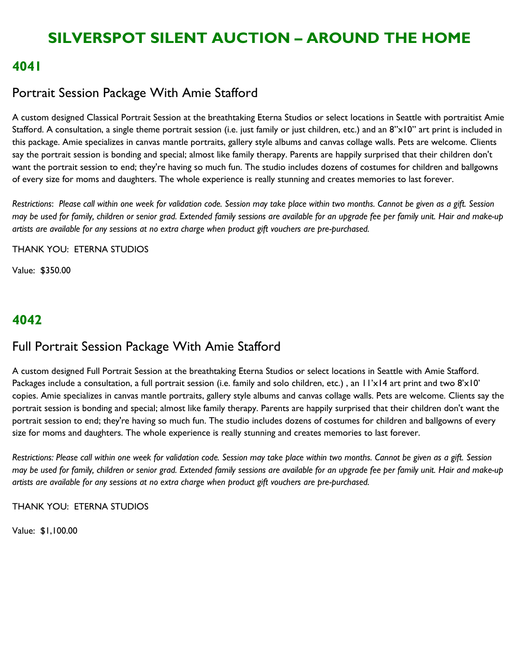#### **4041**

### Portrait Session Package With Amie Stafford

A custom designed Classical Portrait Session at the breathtaking Eterna Studios or select locations in Seattle with portraitist Amie Stafford. A consultation, a single theme portrait session (i.e. just family or just children, etc.) and an  $8" \times 10"$  art print is included in this package. Amie specializes in canvas mantle portraits, gallery style albums and canvas collage walls. Pets are welcome. Clients say the portrait session is bonding and special; almost like family therapy. Parents are happily surprised that their children don't want the portrait session to end; they're having so much fun. The studio includes dozens of costumes for children and ballgowns of every size for moms and daughters. The whole experience is really stunning and creates memories to last forever.

*Restrictions*: *Please call within one week for validation code. Session may take place within two months. Cannot be given as a gift. Session may be used for family, children or senior grad. Extended family sessions are available for an upgrade fee per family unit. Hair and make-up artists are available for any sessions at no extra charge when product gift vouchers are pre-purchased.*

THANK YOU: ETERNA STUDIOS

Value: \$350.00

## **4042**

### Full Portrait Session Package With Amie Stafford

A custom designed Full Portrait Session at the breathtaking Eterna Studios or select locations in Seattle with Amie Stafford. Packages include a consultation, a full portrait session (i.e. family and solo children, etc.), an  $1/x14$  art print and two  $8'x10'$ copies. Amie specializes in canvas mantle portraits, gallery style albums and canvas collage walls. Pets are welcome. Clients say the portrait session is bonding and special; almost like family therapy. Parents are happily surprised that their children don't want the portrait session to end; they're having so much fun. The studio includes dozens of costumes for children and ballgowns of every size for moms and daughters. The whole experience is really stunning and creates memories to last forever.

*Restrictions: Please call within one week for validation code. Session may take place within two months. Cannot be given as a gift. Session may be used for family, children or senior grad. Extended family sessions are available for an upgrade fee per family unit. Hair and make-up artists are available for any sessions at no extra charge when product gift vouchers are pre-purchased.* 

THANK YOU: ETERNA STUDIOS

Value: \$1,100.00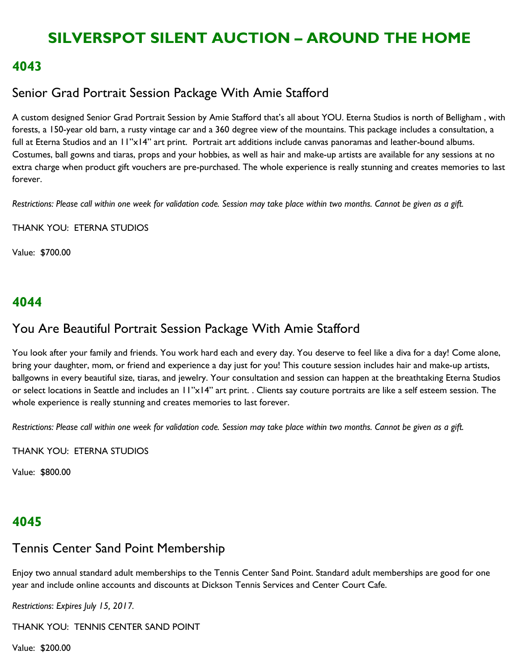#### **4043**

### Senior Grad Portrait Session Package With Amie Stafford

A custom designed Senior Grad Portrait Session by Amie Stafford that's all about YOU. Eterna Studios is north of Belligham , with forests, a 150-year old barn, a rusty vintage car and a 360 degree view of the mountains. This package includes a consultation, a full at Eterna Studios and an 11"x14" art print. Portrait art additions include canvas panoramas and leather-bound albums. Costumes, ball gowns and tiaras, props and your hobbies, as well as hair and make-up artists are available for any sessions at no extra charge when product gift vouchers are pre-purchased. The whole experience is really stunning and creates memories to last forever.

*Restrictions: Please call within one week for validation code. Session may take place within two months. Cannot be given as a gift.* 

THANK YOU: ETERNA STUDIOS

Value: \$700.00

#### **4044**

### You Are Beautiful Portrait Session Package With Amie Stafford

You look after your family and friends. You work hard each and every day. You deserve to feel like a diva for a day! Come alone, bring your daughter, mom, or friend and experience a day just for you! This couture session includes hair and make-up artists, ballgowns in every beautiful size, tiaras, and jewelry. Your consultation and session can happen at the breathtaking Eterna Studios or select locations in Seattle and includes an 11"x14" art print. . Clients say couture portraits are like a self esteem session. The whole experience is really stunning and creates memories to last forever.

*Restrictions: Please call within one week for validation code. Session may take place within two months. Cannot be given as a gift.* 

THANK YOU: ETERNA STUDIOS

Value: \$800.00

### **4045**

### Tennis Center Sand Point Membership

Enjoy two annual standard adult memberships to the Tennis Center Sand Point. Standard adult memberships are good for one year and include online accounts and discounts at Dickson Tennis Services and Center Court Cafe.

*Restrictions*: *Expires July 15, 2017.*

THANK YOU: TENNIS CENTER SAND POINT

Value: \$200.00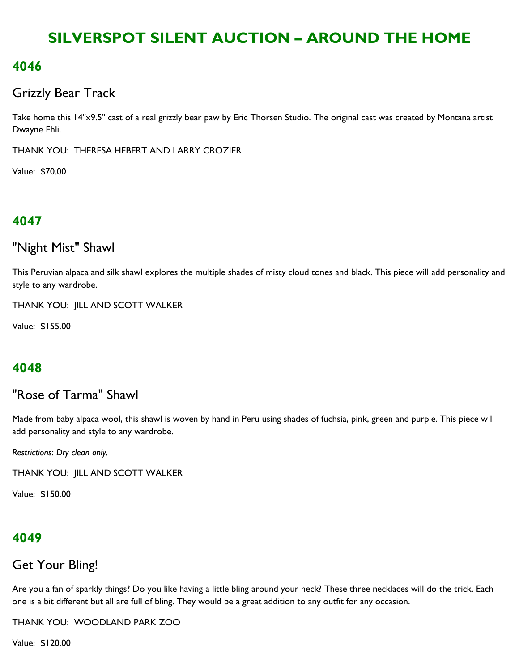### **4046**

### Grizzly Bear Track

Take home this 14"x9.5" cast of a real grizzly bear paw by Eric Thorsen Studio. The original cast was created by Montana artist Dwayne Ehli.

THANK YOU: THERESA HEBERT AND LARRY CROZIER

Value: \$70.00

## **4047**

# "Night Mist" Shawl

This Peruvian alpaca and silk shawl explores the multiple shades of misty cloud tones and black. This piece will add personality and style to any wardrobe.

THANK YOU: JILL AND SCOTT WALKER

Value: \$155.00

## **4048**

## "Rose of Tarma" Shawl

Made from baby alpaca wool, this shawl is woven by hand in Peru using shades of fuchsia, pink, green and purple. This piece will add personality and style to any wardrobe.

*Restrictions*: *Dry clean only.*

THANK YOU: JILL AND SCOTT WALKER

Value: \$150.00

## **4049**

### Get Your Bling!

Are you a fan of sparkly things? Do you like having a little bling around your neck? These three necklaces will do the trick. Each one is a bit different but all are full of bling. They would be a great addition to any outfit for any occasion.

THANK YOU: WOODLAND PARK ZOO

Value: \$120.00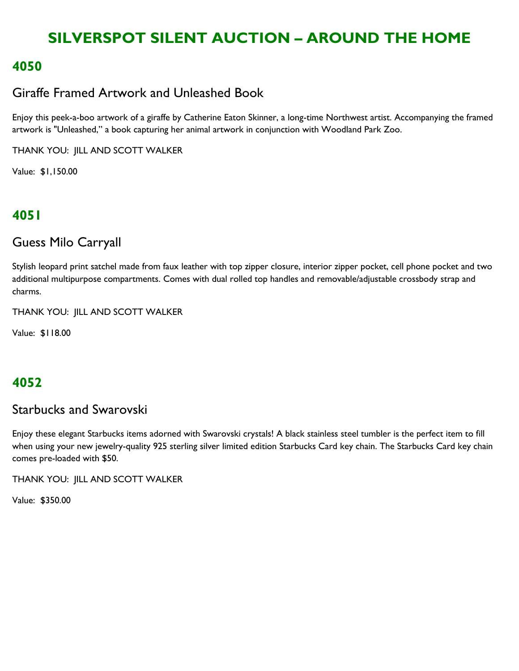### **4050**

### Giraffe Framed Artwork and Unleashed Book

Enjoy this peek-a-boo artwork of a giraffe by Catherine Eaton Skinner, a long-time Northwest artist. Accompanying the framed artwork is "Unleashed," a book capturing her animal artwork in conjunction with Woodland Park Zoo.

THANK YOU: JILL AND SCOTT WALKER

Value: \$1,150.00

## **4051**

### Guess Milo Carryall

Stylish leopard print satchel made from faux leather with top zipper closure, interior zipper pocket, cell phone pocket and two additional multipurpose compartments. Comes with dual rolled top handles and removable/adjustable crossbody strap and charms.

THANK YOU: JILL AND SCOTT WALKER

Value: \$118.00

### **4052**

### Starbucks and Swarovski

Enjoy these elegant Starbucks items adorned with Swarovski crystals! A black stainless steel tumbler is the perfect item to fill when using your new jewelry-quality 925 sterling silver limited edition Starbucks Card key chain. The Starbucks Card key chain comes pre-loaded with \$50.

THANK YOU: JILL AND SCOTT WALKER

Value: \$350.00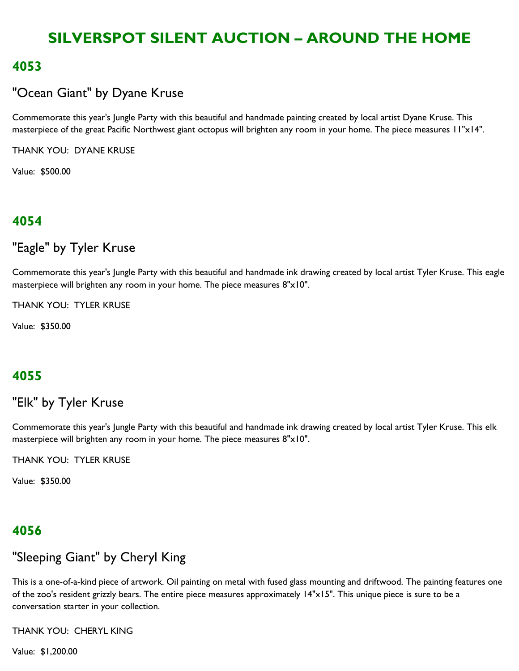#### **4053**

### "Ocean Giant" by Dyane Kruse

Commemorate this year's Jungle Party with this beautiful and handmade painting created by local artist Dyane Kruse. This masterpiece of the great Pacific Northwest giant octopus will brighten any room in your home. The piece measures 11"x14".

THANK YOU: DYANE KRUSE

Value: \$500.00

### **4054**

### "Eagle" by Tyler Kruse

Commemorate this year's Jungle Party with this beautiful and handmade ink drawing created by local artist Tyler Kruse. This eagle masterpiece will brighten any room in your home. The piece measures 8"x10".

THANK YOU: TYLER KRUSE

Value: \$350.00

### **4055**

# "Elk" by Tyler Kruse

Commemorate this year's Jungle Party with this beautiful and handmade ink drawing created by local artist Tyler Kruse. This elk masterpiece will brighten any room in your home. The piece measures 8"x10".

THANK YOU: TYLER KRUSE

Value: \$350.00

### **4056**

## "Sleeping Giant" by Cheryl King

This is a one-of-a-kind piece of artwork. Oil painting on metal with fused glass mounting and driftwood. The painting features one of the zoo's resident grizzly bears. The entire piece measures approximately 14"x15". This unique piece is sure to be a conversation starter in your collection.

THANK YOU: CHERYL KING

Value: \$1,200.00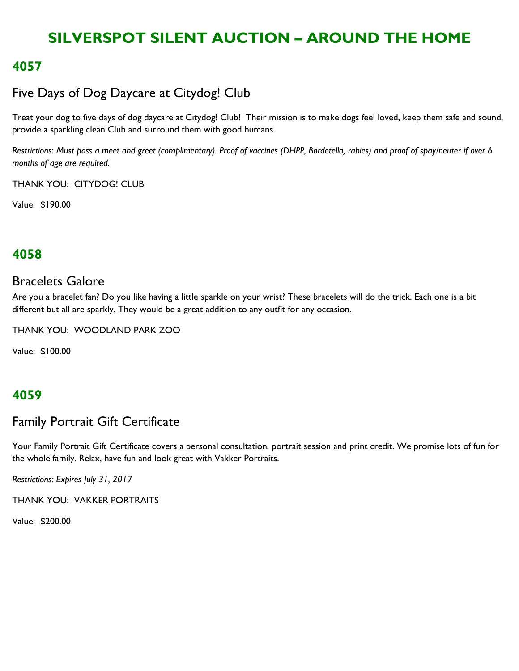#### **4057**

## Five Days of Dog Daycare at Citydog! Club

Treat your dog to five days of dog daycare at Citydog! Club! Their mission is to make dogs feel loved, keep them safe and sound, provide a sparkling clean Club and surround them with good humans.

*Restrictions*: *Must pass a meet and greet (complimentary). Proof of vaccines (DHPP, Bordetella, rabies) and proof of spay/neuter if over 6 months of age are required.*

THANK YOU: CITYDOG! CLUB

Value: \$190.00

### **4058**

#### Bracelets Galore

Are you a bracelet fan? Do you like having a little sparkle on your wrist? These bracelets will do the trick. Each one is a bit different but all are sparkly. They would be a great addition to any outfit for any occasion.

THANK YOU: WOODLAND PARK ZOO

Value: \$100.00

### **4059**

### Family Portrait Gift Certificate

Your Family Portrait Gift Certificate covers a personal consultation, portrait session and print credit. We promise lots of fun for the whole family. Relax, have fun and look great with Vakker Portraits.

*Restrictions: Expires July 31, 2017*

THANK YOU: VAKKER PORTRAITS

Value: \$200.00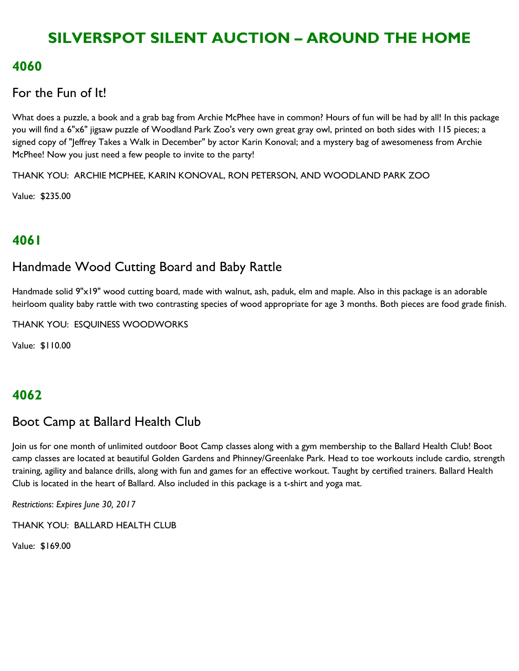#### **4060**

#### For the Fun of It!

What does a puzzle, a book and a grab bag from Archie McPhee have in common? Hours of fun will be had by all! In this package you will find a 6"x6" jigsaw puzzle of Woodland Park Zoo's very own great gray owl, printed on both sides with 115 pieces; a signed copy of "Jeffrey Takes a Walk in December" by actor Karin Konoval; and a mystery bag of awesomeness from Archie McPhee! Now you just need a few people to invite to the party!

THANK YOU: ARCHIE MCPHEE, KARIN KONOVAL, RON PETERSON, AND WOODLAND PARK ZOO

Value: \$235.00

### **4061**

### Handmade Wood Cutting Board and Baby Rattle

Handmade solid 9"x19" wood cutting board, made with walnut, ash, paduk, elm and maple. Also in this package is an adorable heirloom quality baby rattle with two contrasting species of wood appropriate for age 3 months. Both pieces are food grade finish.

THANK YOU: ESQUINESS WOODWORKS

Value: \$110.00

### **4062**

### Boot Camp at Ballard Health Club

Join us for one month of unlimited outdoor Boot Camp classes along with a gym membership to the Ballard Health Club! Boot camp classes are located at beautiful Golden Gardens and Phinney/Greenlake Park. Head to toe workouts include cardio, strength training, agility and balance drills, along with fun and games for an effective workout. Taught by certified trainers. Ballard Health Club is located in the heart of Ballard. Also included in this package is a t-shirt and yoga mat.

*Restrictions*: *Expires June 30, 2017*

THANK YOU: BALLARD HEALTH CLUB

Value: \$169.00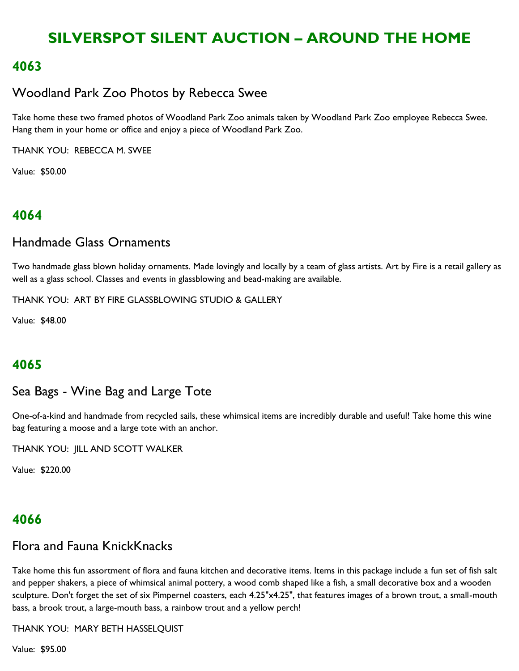### **4063**

## Woodland Park Zoo Photos by Rebecca Swee

Take home these two framed photos of Woodland Park Zoo animals taken by Woodland Park Zoo employee Rebecca Swee. Hang them in your home or office and enjoy a piece of Woodland Park Zoo.

THANK YOU: REBECCA M. SWEE

Value: \$50.00

## **4064**

### Handmade Glass Ornaments

Two handmade glass blown holiday ornaments. Made lovingly and locally by a team of glass artists. Art by Fire is a retail gallery as well as a glass school. Classes and events in glassblowing and bead-making are available.

THANK YOU: ART BY FIRE GLASSBLOWING STUDIO & GALLERY

Value: \$48.00

## **4065**

### Sea Bags - Wine Bag and Large Tote

One-of-a-kind and handmade from recycled sails, these whimsical items are incredibly durable and useful! Take home this wine bag featuring a moose and a large tote with an anchor.

THANK YOU: JILL AND SCOTT WALKER

Value: \$220.00

### **4066**

## Flora and Fauna KnickKnacks

Take home this fun assortment of flora and fauna kitchen and decorative items. Items in this package include a fun set of fish salt and pepper shakers, a piece of whimsical animal pottery, a wood comb shaped like a fish, a small decorative box and a wooden sculpture. Don't forget the set of six Pimpernel coasters, each 4.25"x4.25", that features images of a brown trout, a small-mouth bass, a brook trout, a large-mouth bass, a rainbow trout and a yellow perch!

THANK YOU: MARY BETH HASSELQUIST

Value: \$95.00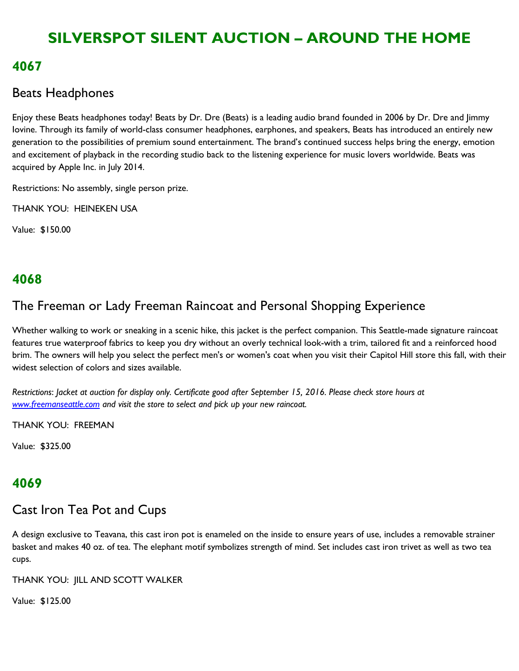#### **4067**

### Beats Headphones

Enjoy these Beats headphones today! Beats by Dr. Dre (Beats) is a leading audio brand founded in 2006 by Dr. Dre and Jimmy Iovine. Through its family of world-class consumer headphones, earphones, and speakers, Beats has introduced an entirely new generation to the possibilities of premium sound entertainment. The brand's continued success helps bring the energy, emotion and excitement of playback in the recording studio back to the listening experience for music lovers worldwide. Beats was acquired by Apple Inc. in July 2014.

Restrictions: No assembly, single person prize.

THANK YOU: HEINEKEN USA

Value: \$150.00

## **4068**

## The Freeman or Lady Freeman Raincoat and Personal Shopping Experience

Whether walking to work or sneaking in a scenic hike, this jacket is the perfect companion. This Seattle-made signature raincoat features true waterproof fabrics to keep you dry without an overly technical look-with a trim, tailored fit and a reinforced hood brim. The owners will help you select the perfect men's or women's coat when you visit their Capitol Hill store this fall, with their widest selection of colors and sizes available.

*Restrictions*: *Jacket at auction for display only. Certificate good after September 15, 2016. Please check store hours at [www.freemanseattle.com](http://www.freemanseattle.com/) and visit the store to select and pick up your new raincoat.*

THANK YOU: FREEMAN

Value: \$325.00

## **4069**

## Cast Iron Tea Pot and Cups

A design exclusive to Teavana, this cast iron pot is enameled on the inside to ensure years of use, includes a removable strainer basket and makes 40 oz. of tea. The elephant motif symbolizes strength of mind. Set includes cast iron trivet as well as two tea cups.

THANK YOU: JILL AND SCOTT WALKER

Value: \$125.00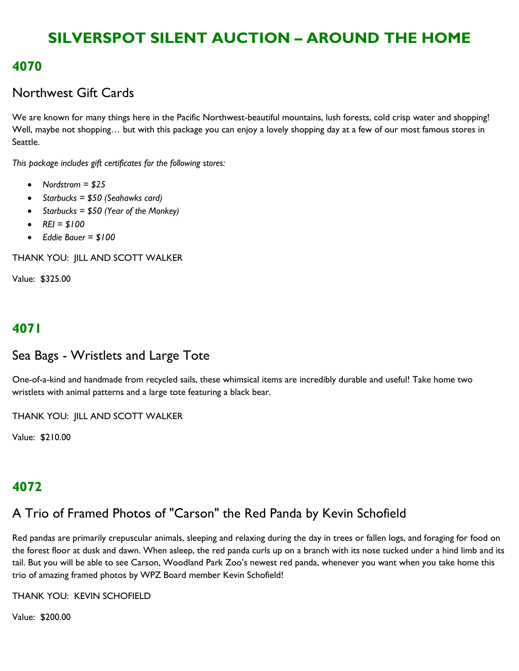### **4070**

### Northwest Gift Cards

We are known for many things here in the Pacific Northwest-beautiful mountains, lush forests, cold crisp water and shopping! Well, maybe not shopping… but with this package you can enjoy a lovely shopping day at a few of our most famous stores in Seattle.

*This package includes gift certificates for the following stores:* 

- *Nordstrom = \$25*
- *Starbucks = \$50 (Seahawks card)*
- *Starbucks = \$50 (Year of the Monkey)*
- $\cdot$   $REI = $100$
- *Eddie Bauer = \$100*

THANK YOU: JILL AND SCOTT WALKER

Value: \$325.00

### **4071**

### Sea Bags - Wristlets and Large Tote

One-of-a-kind and handmade from recycled sails, these whimsical items are incredibly durable and useful! Take home two wristlets with animal patterns and a large tote featuring a black bear.

THANK YOU: JILL AND SCOTT WALKER

Value: \$210.00

### **4072**

## A Trio of Framed Photos of "Carson" the Red Panda by Kevin Schofield

Red pandas are primarily crepuscular animals, sleeping and relaxing during the day in trees or fallen logs, and foraging for food on the forest floor at dusk and dawn. When asleep, the red panda curls up on a branch with its nose tucked under a hind limb and its tail. But you will be able to see Carson, Woodland Park Zoo's newest red panda, whenever you want when you take home this trio of amazing framed photos by WPZ Board member Kevin Schofield!

THANK YOU: KEVIN SCHOFIELD

Value: \$200.00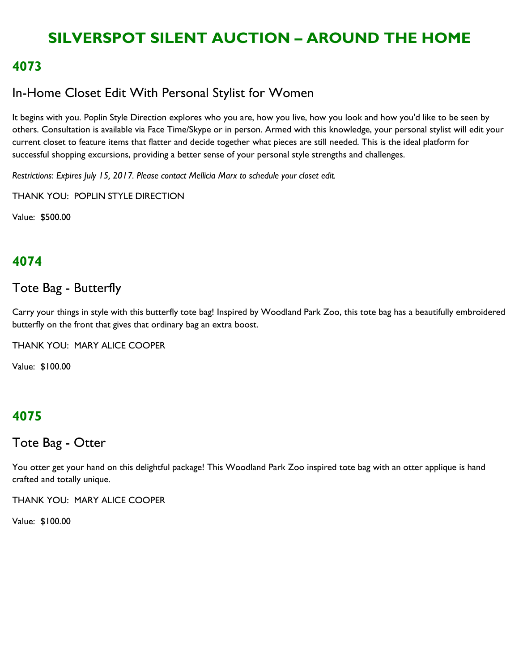### **4073**

### In-Home Closet Edit With Personal Stylist for Women

It begins with you. Poplin Style Direction explores who you are, how you live, how you look and how you'd like to be seen by others. Consultation is available via Face Time/Skype or in person. Armed with this knowledge, your personal stylist will edit your current closet to feature items that flatter and decide together what pieces are still needed. This is the ideal platform for successful shopping excursions, providing a better sense of your personal style strengths and challenges.

*Restrictions*: *Expires July 15, 2017. Please contact Mellicia Marx to schedule your closet edit.* 

THANK YOU: POPLIN STYLE DIRECTION

Value: \$500.00

## **4074**

### Tote Bag - Butterfly

Carry your things in style with this butterfly tote bag! Inspired by Woodland Park Zoo, this tote bag has a beautifully embroidered butterfly on the front that gives that ordinary bag an extra boost.

THANK YOU: MARY ALICE COOPER

Value: \$100.00

### **4075**

#### Tote Bag - Otter

You otter get your hand on this delightful package! This Woodland Park Zoo inspired tote bag with an otter applique is hand crafted and totally unique.

THANK YOU: MARY ALICE COOPER

Value: \$100.00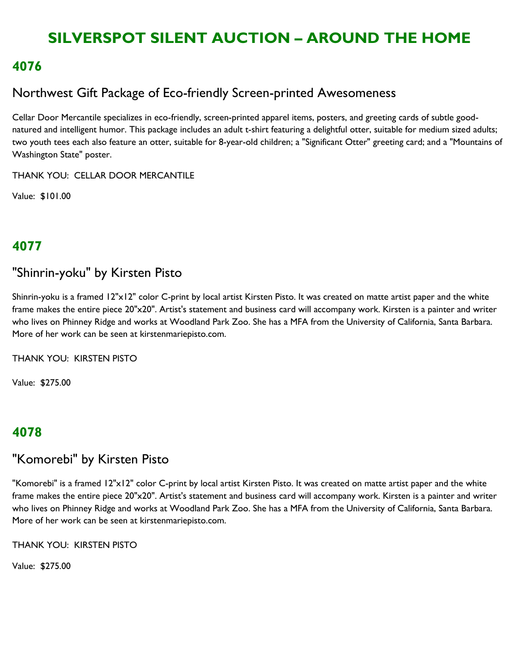### **4076**

## Northwest Gift Package of Eco-friendly Screen-printed Awesomeness

Cellar Door Mercantile specializes in eco-friendly, screen-printed apparel items, posters, and greeting cards of subtle goodnatured and intelligent humor. This package includes an adult t-shirt featuring a delightful otter, suitable for medium sized adults; two youth tees each also feature an otter, suitable for 8-year-old children; a "Significant Otter" greeting card; and a "Mountains of Washington State" poster.

THANK YOU: CELLAR DOOR MERCANTILE

Value: \$101.00

## **4077**

### "Shinrin-yoku" by Kirsten Pisto

Shinrin-yoku is a framed 12"x12" color C-print by local artist Kirsten Pisto. It was created on matte artist paper and the white frame makes the entire piece 20"x20". Artist's statement and business card will accompany work. Kirsten is a painter and writer who lives on Phinney Ridge and works at Woodland Park Zoo. She has a MFA from the University of California, Santa Barbara. More of her work can be seen at kirstenmariepisto.com.

THANK YOU: KIRSTEN PISTO

Value: \$275.00

### **4078**

### "Komorebi" by Kirsten Pisto

"Komorebi" is a framed 12"x12" color C-print by local artist Kirsten Pisto. It was created on matte artist paper and the white frame makes the entire piece 20"x20". Artist's statement and business card will accompany work. Kirsten is a painter and writer who lives on Phinney Ridge and works at Woodland Park Zoo. She has a MFA from the University of California, Santa Barbara. More of her work can be seen at kirstenmariepisto.com.

THANK YOU: KIRSTEN PISTO

Value: \$275.00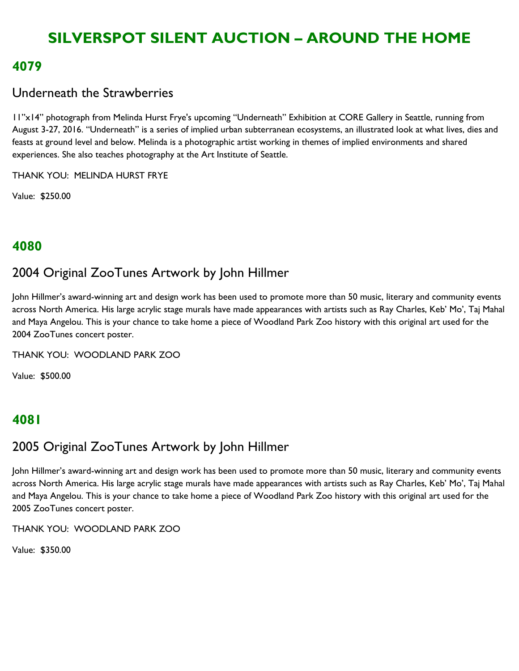#### **4079**

### Underneath the Strawberries

11"x14" photograph from Melinda Hurst Frye's upcoming "Underneath" Exhibition at CORE Gallery in Seattle, running from August 3-27, 2016. "Underneath" is a series of implied urban subterranean ecosystems, an illustrated look at what lives, dies and feasts at ground level and below. Melinda is a photographic artist working in themes of implied environments and shared experiences. She also teaches photography at the Art Institute of Seattle.

THANK YOU: MELINDA HURST FRYE

Value: \$250.00

### **4080**

### 2004 Original ZooTunes Artwork by John Hillmer

John Hillmer's award-winning art and design work has been used to promote more than 50 music, literary and community events across North America. His large acrylic stage murals have made appearances with artists such as Ray Charles, Keb' Mo', Taj Mahal and Maya Angelou. This is your chance to take home a piece of Woodland Park Zoo history with this original art used for the 2004 ZooTunes concert poster.

THANK YOU: WOODLAND PARK ZOO

Value: \$500.00

### **4081**

# 2005 Original ZooTunes Artwork by John Hillmer

John Hillmer's award-winning art and design work has been used to promote more than 50 music, literary and community events across North America. His large acrylic stage murals have made appearances with artists such as Ray Charles, Keb' Mo', Taj Mahal and Maya Angelou. This is your chance to take home a piece of Woodland Park Zoo history with this original art used for the 2005 ZooTunes concert poster.

THANK YOU: WOODLAND PARK ZOO

Value: \$350.00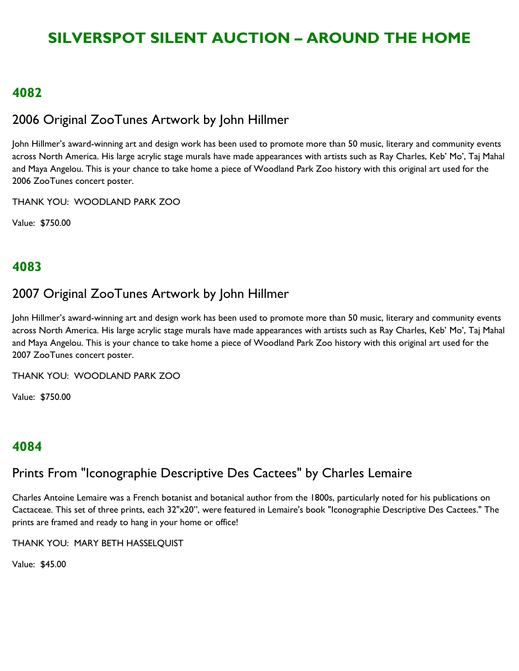#### **4082**

## 2006 Original ZooTunes Artwork by John Hillmer

John Hillmer's award-winning art and design work has been used to promote more than 50 music, literary and community events across North America. His large acrylic stage murals have made appearances with artists such as Ray Charles, Keb' Mo', Taj Mahal and Maya Angelou. This is your chance to take home a piece of Woodland Park Zoo history with this original art used for the 2006 ZooTunes concert poster.

THANK YOU: WOODLAND PARK ZOO

Value: \$750.00

### **4083**

## 2007 Original ZooTunes Artwork by John Hillmer

John Hillmer's award-winning art and design work has been used to promote more than 50 music, literary and community events across North America. His large acrylic stage murals have made appearances with artists such as Ray Charles, Keb' Mo', Taj Mahal and Maya Angelou. This is your chance to take home a piece of Woodland Park Zoo history with this original art used for the 2007 ZooTunes concert poster.

THANK YOU: WOODLAND PARK ZOO

Value: \$750.00

### **4084**

## Prints From "Iconographie Descriptive Des Cactees" by Charles Lemaire

Charles Antoine Lemaire was a French botanist and botanical author from the 1800s, particularly noted for his publications on Cactaceae. This set of three prints, each 32"x20", were featured in Lemaire's book "Iconographie Descriptive Des Cactees." The prints are framed and ready to hang in your home or office!

THANK YOU: MARY BETH HASSELQUIST

Value: \$45.00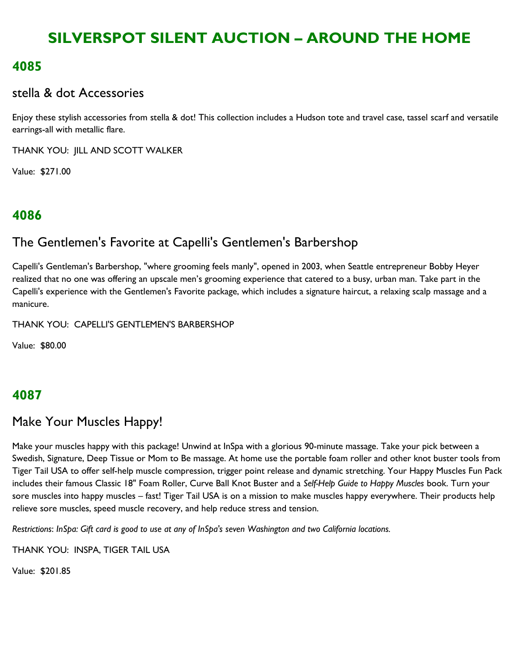### **4085**

#### stella & dot Accessories

Enjoy these stylish accessories from stella & dot! This collection includes a Hudson tote and travel case, tassel scarf and versatile earrings-all with metallic flare.

THANK YOU: JILL AND SCOTT WALKER

Value: \$271.00

# **4086**

# The Gentlemen's Favorite at Capelli's Gentlemen's Barbershop

Capelli's Gentleman's Barbershop, "where grooming feels manly", opened in 2003, when Seattle entrepreneur Bobby Heyer realized that no one was offering an upscale men's grooming experience that catered to a busy, urban man. Take part in the Capelli's experience with the Gentlemen's Favorite package, which includes a signature haircut, a relaxing scalp massage and a manicure.

THANK YOU: CAPELLI'S GENTLEMEN'S BARBERSHOP

Value: \$80.00

## **4087**

# Make Your Muscles Happy!

Make your muscles happy with this package! Unwind at InSpa with a glorious 90-minute massage. Take your pick between a Swedish, Signature, Deep Tissue or Mom to Be massage. At home use the portable foam roller and other knot buster tools from Tiger Tail USA to offer self-help muscle compression, trigger point release and dynamic stretching. Your Happy Muscles Fun Pack includes their famous Classic 18" Foam Roller, Curve Ball Knot Buster and a *Self-Help Guide to Happy Muscles* book. Turn your sore muscles into happy muscles – fast! Tiger Tail USA is on a mission to make muscles happy everywhere. Their products help relieve sore muscles, speed muscle recovery, and help reduce stress and tension.

*Restrictions*: *InSpa: Gift card is good to use at any of InSpa's seven Washington and two California locations.*

THANK YOU: INSPA, TIGER TAIL USA

Value: \$201.85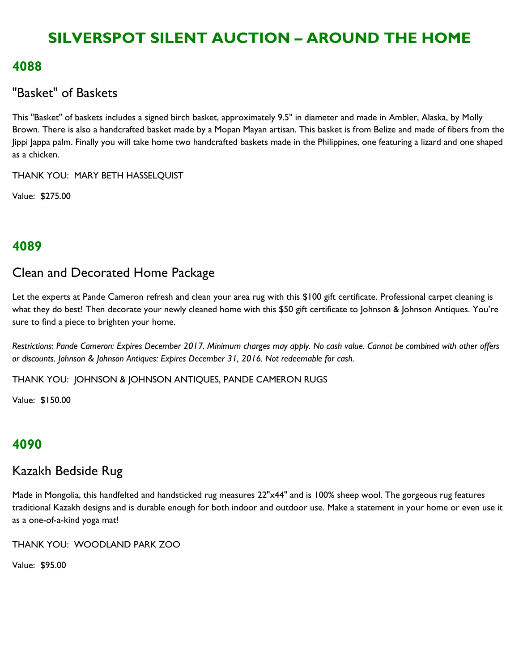### **4088**

### "Basket" of Baskets

This "Basket" of baskets includes a signed birch basket, approximately 9.5" in diameter and made in Ambler, Alaska, by Molly Brown. There is also a handcrafted basket made by a Mopan Mayan artisan. This basket is from Belize and made of fibers from the Jippi Jappa palm. Finally you will take home two handcrafted baskets made in the Philippines, one featuring a lizard and one shaped as a chicken.

THANK YOU: MARY BETH HASSELQUIST

Value: \$275.00

## **4089**

### Clean and Decorated Home Package

Let the experts at Pande Cameron refresh and clean your area rug with this \$100 gift certificate. Professional carpet cleaning is what they do best! Then decorate your newly cleaned home with this \$50 gift certificate to Johnson & Johnson Antiques. You're sure to find a piece to brighten your home.

*Restrictions*: *Pande Cameron: Expires December 2017. Minimum charges may apply. No cash value. Cannot be combined with other offers or discounts. Johnson & Johnson Antiques: Expires December 31, 2016. Not redeemable for cash.*

THANK YOU: JOHNSON & JOHNSON ANTIQUES, PANDE CAMERON RUGS

Value: \$150.00

### **4090**

### Kazakh Bedside Rug

Made in Mongolia, this handfelted and handsticked rug measures 22"x44" and is 100% sheep wool. The gorgeous rug features traditional Kazakh designs and is durable enough for both indoor and outdoor use. Make a statement in your home or even use it as a one-of-a-kind yoga mat!

THANK YOU: WOODLAND PARK ZOO

Value: \$95.00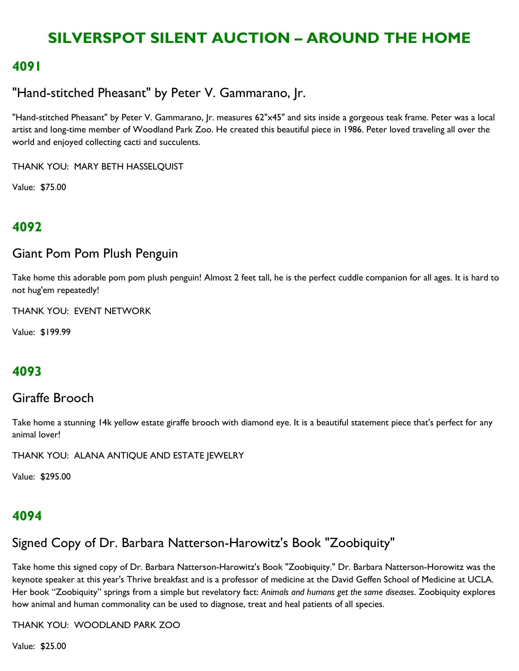#### **4091**

### "Hand-stitched Pheasant" by Peter V. Gammarano, Jr.

"Hand-stitched Pheasant" by Peter V. Gammarano, Jr. measures 62"x45" and sits inside a gorgeous teak frame. Peter was a local artist and long-time member of Woodland Park Zoo. He created this beautiful piece in 1986. Peter loved traveling all over the world and enjoyed collecting cacti and succulents.

THANK YOU: MARY BETH HASSELQUIST

Value: \$75.00

### **4092**

#### Giant Pom Pom Plush Penguin

Take home this adorable pom pom plush penguin! Almost 2 feet tall, he is the perfect cuddle companion for all ages. It is hard to not hug'em repeatedly!

THANK YOU: EVENT NETWORK

Value: \$199.99

### **4093**

#### Giraffe Brooch

Take home a stunning 14k yellow estate giraffe brooch with diamond eye. It is a beautiful statement piece that's perfect for any animal lover!

THANK YOU: ALANA ANTIQUE AND ESTATE JEWELRY

Value: \$295.00

### **4094**

### Signed Copy of Dr. Barbara Natterson-Harowitz's Book "Zoobiquity"

Take home this signed copy of Dr. Barbara Natterson-Harowitz's Book "Zoobiquity." Dr. Barbara Natterson-Horowitz was the keynote speaker at this year's Thrive breakfast and is a professor of medicine at the David Geffen School of Medicine at UCLA. Her book "Zoobiquity" springs from a simple but revelatory fact: Animals and humans get the same diseases. Zoobiquity explores how animal and human commonality can be used to diagnose, treat and heal patients of all species.

#### THANK YOU: WOODLAND PARK ZOO

Value: \$25.00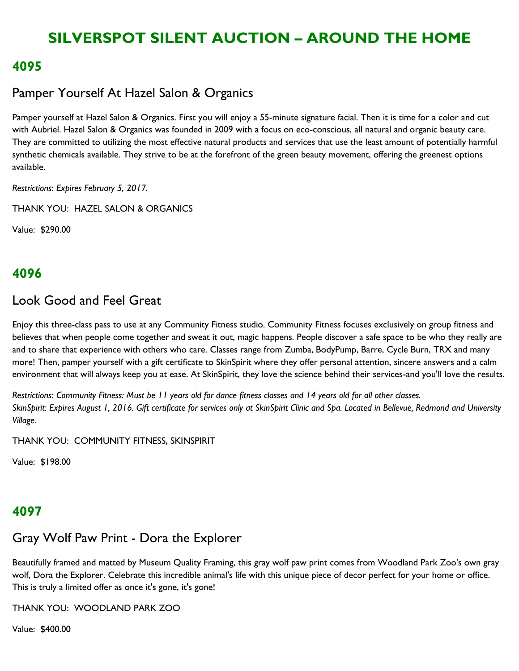#### **4095**

### Pamper Yourself At Hazel Salon & Organics

Pamper yourself at Hazel Salon & Organics. First you will enjoy a 55-minute signature facial. Then it is time for a color and cut with Aubriel. Hazel Salon & Organics was founded in 2009 with a focus on eco-conscious, all natural and organic beauty care. They are committed to utilizing the most effective natural products and services that use the least amount of potentially harmful synthetic chemicals available. They strive to be at the forefront of the green beauty movement, offering the greenest options available.

*Restrictions*: *Expires February 5, 2017.*

THANK YOU: HAZEL SALON & ORGANICS

Value: \$290.00

### **4096**

#### Look Good and Feel Great

Enjoy this three-class pass to use at any Community Fitness studio. Community Fitness focuses exclusively on group fitness and believes that when people come together and sweat it out, magic happens. People discover a safe space to be who they really are and to share that experience with others who care. Classes range from Zumba, BodyPump, Barre, Cycle Burn, TRX and many more! Then, pamper yourself with a gift certificate to SkinSpirit where they offer personal attention, sincere answers and a calm environment that will always keep you at ease. At SkinSpirit, they love the science behind their services-and you'll love the results.

*Restrictions*: *Community Fitness: Must be 11 years old for dance fitness classes and 14 years old for all other classes. SkinSpirit: Expires August 1, 2016. Gift certificate for services only at SkinSpirit Clinic and Spa. Located in Bellevue, Redmond and University Village.*

THANK YOU: COMMUNITY FITNESS, SKINSPIRIT

Value: \$198.00

### **4097**

### Gray Wolf Paw Print - Dora the Explorer

Beautifully framed and matted by Museum Quality Framing, this gray wolf paw print comes from Woodland Park Zoo's own gray wolf, Dora the Explorer. Celebrate this incredible animal's life with this unique piece of decor perfect for your home or office. This is truly a limited offer as once it's gone, it's gone!

THANK YOU: WOODLAND PARK ZOO

Value: \$400.00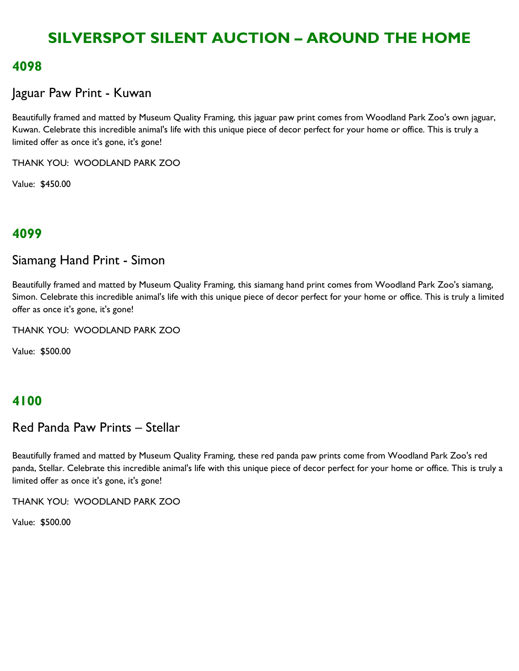#### **4098**

#### Jaguar Paw Print - Kuwan

Beautifully framed and matted by Museum Quality Framing, this jaguar paw print comes from Woodland Park Zoo's own jaguar, Kuwan. Celebrate this incredible animal's life with this unique piece of decor perfect for your home or office. This is truly a limited offer as once it's gone, it's gone!

THANK YOU: WOODLAND PARK ZOO

Value: \$450.00

### **4099**

#### Siamang Hand Print - Simon

Beautifully framed and matted by Museum Quality Framing, this siamang hand print comes from Woodland Park Zoo's siamang, Simon. Celebrate this incredible animal's life with this unique piece of decor perfect for your home or office. This is truly a limited offer as once it's gone, it's gone!

THANK YOU: WOODLAND PARK ZOO

Value: \$500.00

### **4100**

#### Red Panda Paw Prints – Stellar

Beautifully framed and matted by Museum Quality Framing, these red panda paw prints come from Woodland Park Zoo's red panda, Stellar. Celebrate this incredible animal's life with this unique piece of decor perfect for your home or office. This is truly a limited offer as once it's gone, it's gone!

THANK YOU: WOODLAND PARK ZOO

Value: \$500.00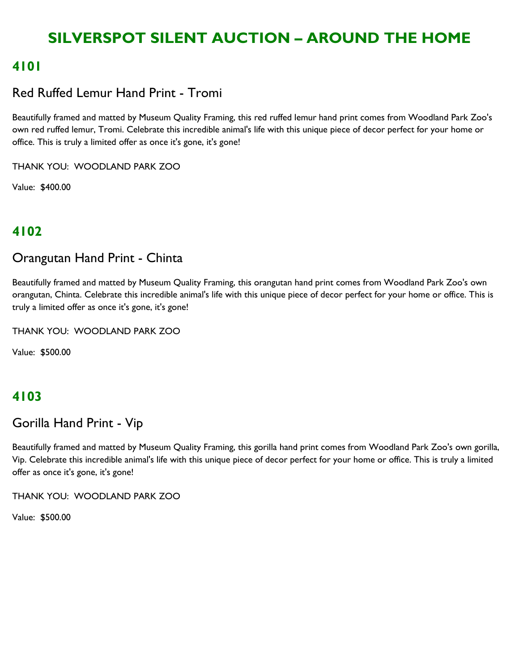### **4101**

### Red Ruffed Lemur Hand Print - Tromi

Beautifully framed and matted by Museum Quality Framing, this red ruffed lemur hand print comes from Woodland Park Zoo's own red ruffed lemur, Tromi. Celebrate this incredible animal's life with this unique piece of decor perfect for your home or office. This is truly a limited offer as once it's gone, it's gone!

THANK YOU: WOODLAND PARK ZOO

Value: \$400.00

## **4102**

### Orangutan Hand Print - Chinta

Beautifully framed and matted by Museum Quality Framing, this orangutan hand print comes from Woodland Park Zoo's own orangutan, Chinta. Celebrate this incredible animal's life with this unique piece of decor perfect for your home or office. This is truly a limited offer as once it's gone, it's gone!

THANK YOU: WOODLAND PARK ZOO

Value: \$500.00

## **4103**

### Gorilla Hand Print - Vip

Beautifully framed and matted by Museum Quality Framing, this gorilla hand print comes from Woodland Park Zoo's own gorilla, Vip. Celebrate this incredible animal's life with this unique piece of decor perfect for your home or office. This is truly a limited offer as once it's gone, it's gone!

THANK YOU: WOODLAND PARK ZOO

Value: \$500.00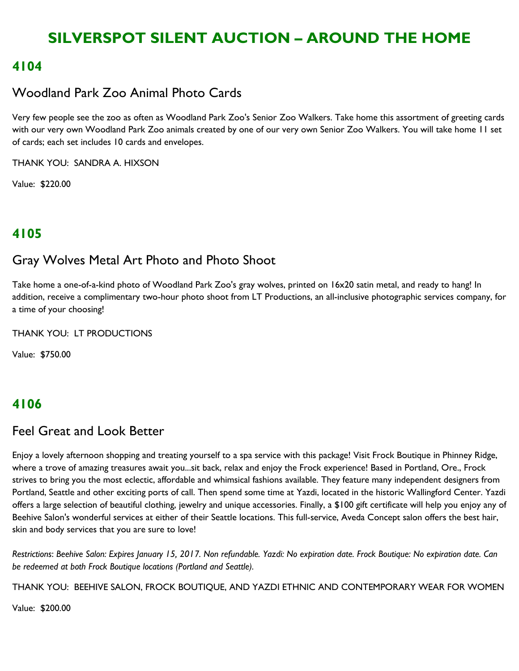### **4104**

## Woodland Park Zoo Animal Photo Cards

Very few people see the zoo as often as Woodland Park Zoo's Senior Zoo Walkers. Take home this assortment of greeting cards with our very own Woodland Park Zoo animals created by one of our very own Senior Zoo Walkers. You will take home 11 set of cards; each set includes 10 cards and envelopes.

THANK YOU: SANDRA A. HIXSON

Value: \$220.00

## **4105**

### Gray Wolves Metal Art Photo and Photo Shoot

Take home a one-of-a-kind photo of Woodland Park Zoo's gray wolves, printed on 16x20 satin metal, and ready to hang! In addition, receive a complimentary two-hour photo shoot from LT Productions, an all-inclusive photographic services company, for a time of your choosing!

THANK YOU: LT PRODUCTIONS

Value: \$750.00

### **4106**

### Feel Great and Look Better

Enjoy a lovely afternoon shopping and treating yourself to a spa service with this package! Visit Frock Boutique in Phinney Ridge, where a trove of amazing treasures await you...sit back, relax and enjoy the Frock experience! Based in Portland, Ore., Frock strives to bring you the most eclectic, affordable and whimsical fashions available. They feature many independent designers from Portland, Seattle and other exciting ports of call. Then spend some time at Yazdi, located in the historic Wallingford Center. Yazdi offers a large selection of beautiful clothing, jewelry and unique accessories. Finally, a \$100 gift certificate will help you enjoy any of Beehive Salon's wonderful services at either of their Seattle locations. This full-service, Aveda Concept salon offers the best hair, skin and body services that you are sure to love!

*Restrictions*: *Beehive Salon: Expires January 15, 2017. Non refundable. Yazdi: No expiration date. Frock Boutique: No expiration date. Can be redeemed at both Frock Boutique locations (Portland and Seattle).*

THANK YOU: BEEHIVE SALON, FROCK BOUTIQUE, AND YAZDI ETHNIC AND CONTEMPORARY WEAR FOR WOMEN

Value: \$200.00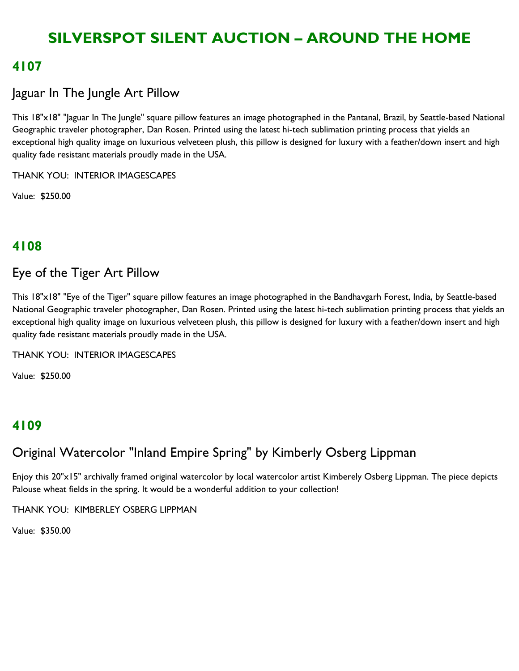### **4107**

## Jaguar In The Jungle Art Pillow

This 18"x18" "Jaguar In The Jungle" square pillow features an image photographed in the Pantanal, Brazil, by Seattle-based National Geographic traveler photographer, Dan Rosen. Printed using the latest hi-tech sublimation printing process that yields an exceptional high quality image on luxurious velveteen plush, this pillow is designed for luxury with a feather/down insert and high quality fade resistant materials proudly made in the USA.

THANK YOU: INTERIOR IMAGESCAPES

Value: \$250.00

### **4108**

### Eye of the Tiger Art Pillow

This 18"x18" "Eye of the Tiger" square pillow features an image photographed in the Bandhavgarh Forest, India, by Seattle-based National Geographic traveler photographer, Dan Rosen. Printed using the latest hi-tech sublimation printing process that yields an exceptional high quality image on luxurious velveteen plush, this pillow is designed for luxury with a feather/down insert and high quality fade resistant materials proudly made in the USA.

THANK YOU: INTERIOR IMAGESCAPES

Value: \$250.00

### **4109**

# Original Watercolor "Inland Empire Spring" by Kimberly Osberg Lippman

Enjoy this 20"x15" archivally framed original watercolor by local watercolor artist Kimberely Osberg Lippman. The piece depicts Palouse wheat fields in the spring. It would be a wonderful addition to your collection!

THANK YOU: KIMBERLEY OSBERG LIPPMAN

Value: \$350.00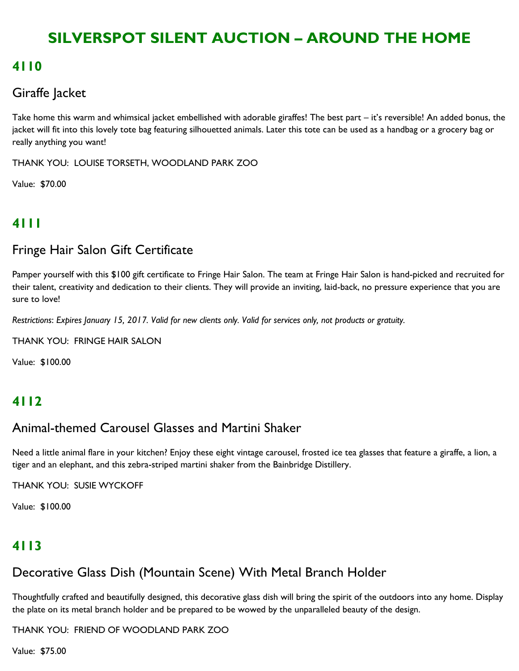### **4110**

## Giraffe Jacket

Take home this warm and whimsical jacket embellished with adorable giraffes! The best part – it's reversible! An added bonus, the jacket will fit into this lovely tote bag featuring silhouetted animals. Later this tote can be used as a handbag or a grocery bag or really anything you want!

THANK YOU: LOUISE TORSETH, WOODLAND PARK ZOO

Value: \$70.00

# **4111**

## Fringe Hair Salon Gift Certificate

Pamper yourself with this \$100 gift certificate to Fringe Hair Salon. The team at Fringe Hair Salon is hand-picked and recruited for their talent, creativity and dedication to their clients. They will provide an inviting, laid-back, no pressure experience that you are sure to love!

*Restrictions*: *Expires January 15, 2017. Valid for new clients only. Valid for services only, not products or gratuity.*

THANK YOU: FRINGE HAIR SALON

Value: \$100.00

### **4112**

### Animal-themed Carousel Glasses and Martini Shaker

Need a little animal flare in your kitchen? Enjoy these eight vintage carousel, frosted ice tea glasses that feature a giraffe, a lion, a tiger and an elephant, and this zebra-striped martini shaker from the Bainbridge Distillery.

THANK YOU: SUSIE WYCKOFF

Value: \$100.00

# **4113**

## Decorative Glass Dish (Mountain Scene) With Metal Branch Holder

Thoughtfully crafted and beautifully designed, this decorative glass dish will bring the spirit of the outdoors into any home. Display the plate on its metal branch holder and be prepared to be wowed by the unparalleled beauty of the design.

THANK YOU: FRIEND OF WOODLAND PARK ZOO

Value: \$75.00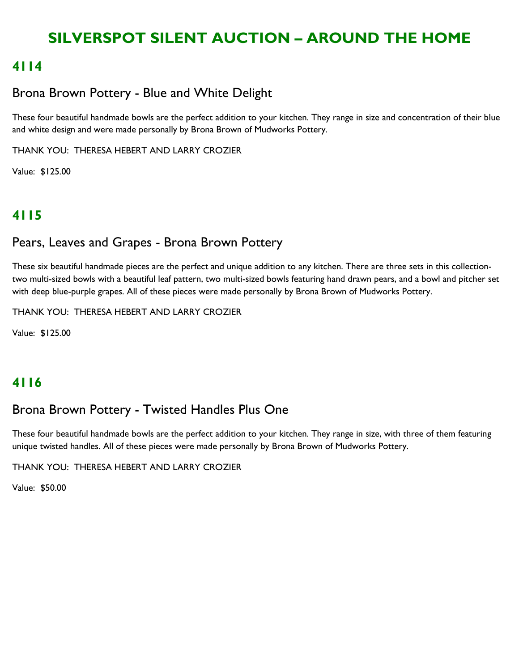### **4114**

## Brona Brown Pottery - Blue and White Delight

These four beautiful handmade bowls are the perfect addition to your kitchen. They range in size and concentration of their blue and white design and were made personally by Brona Brown of Mudworks Pottery.

THANK YOU: THERESA HEBERT AND LARRY CROZIER

Value: \$125.00

## **4115**

### Pears, Leaves and Grapes - Brona Brown Pottery

These six beautiful handmade pieces are the perfect and unique addition to any kitchen. There are three sets in this collectiontwo multi-sized bowls with a beautiful leaf pattern, two multi-sized bowls featuring hand drawn pears, and a bowl and pitcher set with deep blue-purple grapes. All of these pieces were made personally by Brona Brown of Mudworks Pottery.

THANK YOU: THERESA HEBERT AND LARRY CROZIER

Value: \$125.00

### **4116**

### Brona Brown Pottery - Twisted Handles Plus One

These four beautiful handmade bowls are the perfect addition to your kitchen. They range in size, with three of them featuring unique twisted handles. All of these pieces were made personally by Brona Brown of Mudworks Pottery.

THANK YOU: THERESA HEBERT AND LARRY CROZIER

Value: \$50.00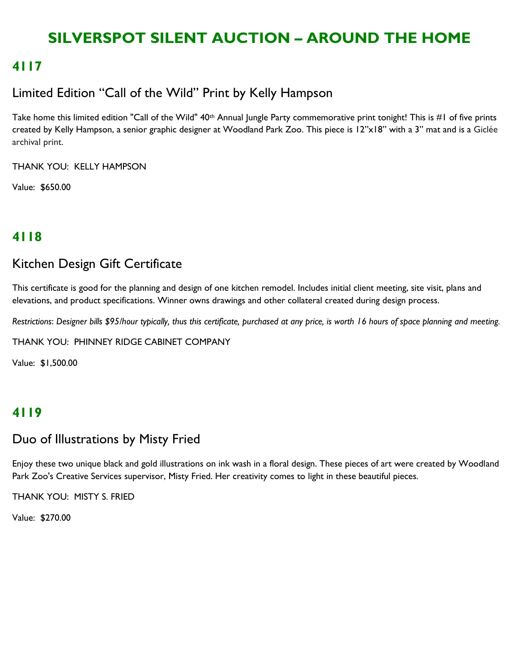### **4117**

## Limited Edition "Call of the Wild" Print by Kelly Hampson

Take home this limited edition "Call of the Wild" 40<sup>th</sup> Annual Jungle Party commemorative print tonight! This is #1 of five prints created by Kelly Hampson, a senior graphic designer at Woodland Park Zoo. This piece is 12"x18" with a 3" mat and is a Giclée archival print.

THANK YOU: KELLY HAMPSON

Value: \$650.00

# **4118**

### Kitchen Design Gift Certificate

This certificate is good for the planning and design of one kitchen remodel. Includes initial client meeting, site visit, plans and elevations, and product specifications. Winner owns drawings and other collateral created during design process.

*Restrictions*: *Designer bills \$95/hour typically, thus this certificate, purchased at any price, is worth 16 hours of space planning and meeting.*

THANK YOU: PHINNEY RIDGE CABINET COMPANY

Value: \$1,500.00

### **4119**

### Duo of Illustrations by Misty Fried

Enjoy these two unique black and gold illustrations on ink wash in a floral design. These pieces of art were created by Woodland Park Zoo's Creative Services supervisor, Misty Fried. Her creativity comes to light in these beautiful pieces.

THANK YOU: MISTY S. FRIED

Value: \$270.00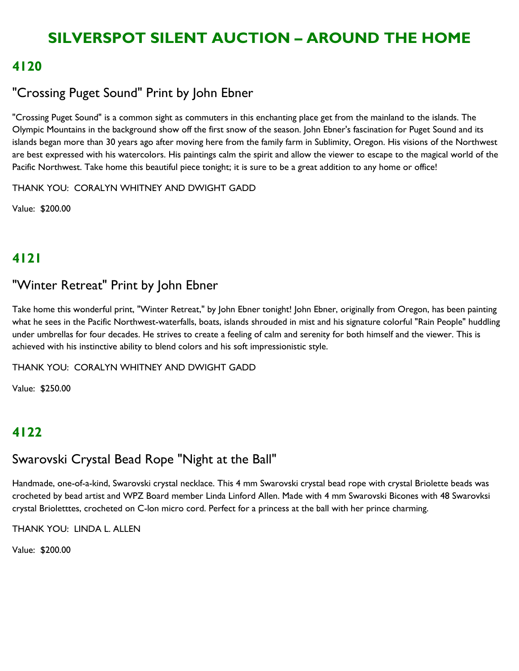### **4120**

## "Crossing Puget Sound" Print by John Ebner

"Crossing Puget Sound" is a common sight as commuters in this enchanting place get from the mainland to the islands. The Olympic Mountains in the background show off the first snow of the season. John Ebner's fascination for Puget Sound and its islands began more than 30 years ago after moving here from the family farm in Sublimity, Oregon. His visions of the Northwest are best expressed with his watercolors. His paintings calm the spirit and allow the viewer to escape to the magical world of the Pacific Northwest. Take home this beautiful piece tonight; it is sure to be a great addition to any home or office!

THANK YOU: CORALYN WHITNEY AND DWIGHT GADD

Value: \$200.00

# **4121**

### "Winter Retreat" Print by John Ebner

Take home this wonderful print, "Winter Retreat," by John Ebner tonight! John Ebner, originally from Oregon, has been painting what he sees in the Pacific Northwest-waterfalls, boats, islands shrouded in mist and his signature colorful "Rain People" huddling under umbrellas for four decades. He strives to create a feeling of calm and serenity for both himself and the viewer. This is achieved with his instinctive ability to blend colors and his soft impressionistic style.

THANK YOU: CORALYN WHITNEY AND DWIGHT GADD

Value: \$250.00

## **4122**

# Swarovski Crystal Bead Rope "Night at the Ball"

Handmade, one-of-a-kind, Swarovski crystal necklace. This 4 mm Swarovski crystal bead rope with crystal Briolette beads was crocheted by bead artist and WPZ Board member Linda Linford Allen. Made with 4 mm Swarovski Bicones with 48 Swarovksi crystal Brioletttes, crocheted on C-lon micro cord. Perfect for a princess at the ball with her prince charming.

THANK YOU: LINDA L. ALLEN

Value: \$200.00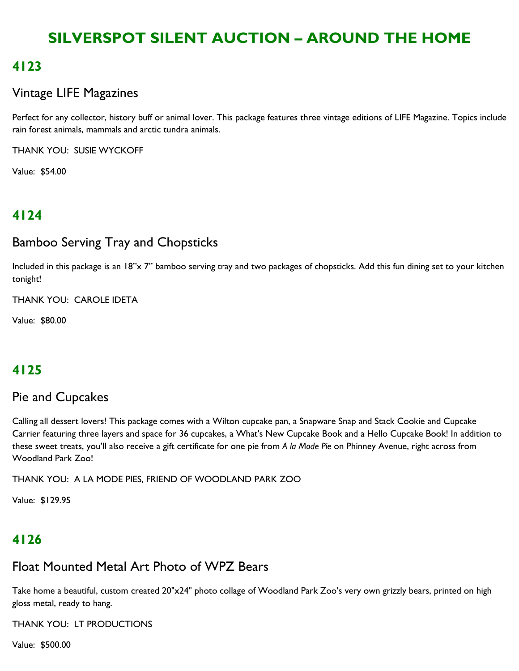## **4123**

## Vintage LIFE Magazines

Perfect for any collector, history buff or animal lover. This package features three vintage editions of LIFE Magazine. Topics include rain forest animals, mammals and arctic tundra animals.

THANK YOU: SUSIE WYCKOFF

Value: \$54.00

# **4124**

## Bamboo Serving Tray and Chopsticks

Included in this package is an 18"x 7" bamboo serving tray and two packages of chopsticks. Add this fun dining set to your kitchen tonight!

THANK YOU: CAROLE IDETA

Value: \$80.00

# **4125**

# Pie and Cupcakes

Calling all dessert lovers! This package comes with a Wilton cupcake pan, a Snapware Snap and Stack Cookie and Cupcake Carrier featuring three layers and space for 36 cupcakes, a What's New Cupcake Book and a Hello Cupcake Book! In addition to these sweet treats, you'll also receive a gift certificate for one pie from *A la Mode Pie* on Phinney Avenue, right across from Woodland Park Zoo!

THANK YOU: A LA MODE PIES, FRIEND OF WOODLAND PARK ZOO

Value: \$129.95

# **4126**

### Float Mounted Metal Art Photo of WPZ Bears

Take home a beautiful, custom created 20"x24" photo collage of Woodland Park Zoo's very own grizzly bears, printed on high gloss metal, ready to hang.

THANK YOU: LT PRODUCTIONS

Value: \$500.00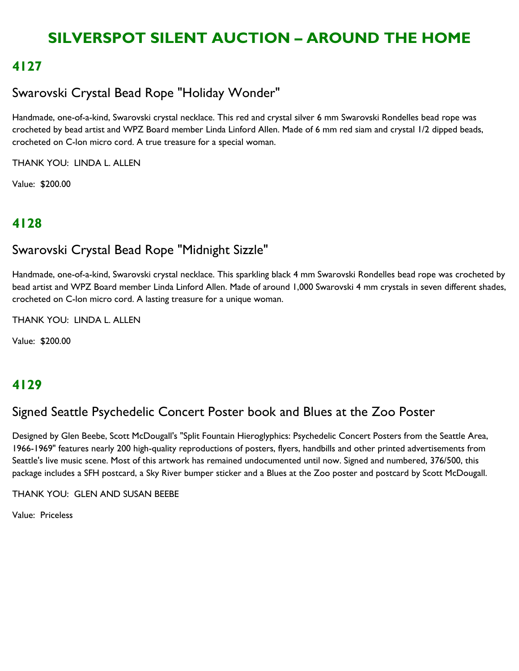## **4127**

# Swarovski Crystal Bead Rope "Holiday Wonder"

Handmade, one-of-a-kind, Swarovski crystal necklace. This red and crystal silver 6 mm Swarovski Rondelles bead rope was crocheted by bead artist and WPZ Board member Linda Linford Allen. Made of 6 mm red siam and crystal 1/2 dipped beads, crocheted on C-lon micro cord. A true treasure for a special woman.

THANK YOU: LINDA L. ALLEN

Value: \$200.00

# **4128**

# Swarovski Crystal Bead Rope "Midnight Sizzle"

Handmade, one-of-a-kind, Swarovski crystal necklace. This sparkling black 4 mm Swarovski Rondelles bead rope was crocheted by bead artist and WPZ Board member Linda Linford Allen. Made of around 1,000 Swarovski 4 mm crystals in seven different shades, crocheted on C-lon micro cord. A lasting treasure for a unique woman.

THANK YOU: LINDA L. ALLEN

Value: \$200.00

### **4129**

### Signed Seattle Psychedelic Concert Poster book and Blues at the Zoo Poster

Designed by Glen Beebe, Scott McDougall's "Split Fountain Hieroglyphics: Psychedelic Concert Posters from the Seattle Area, 1966-1969" features nearly 200 high-quality reproductions of posters, flyers, handbills and other printed advertisements from Seattle's live music scene. Most of this artwork has remained undocumented until now. Signed and numbered, 376/500, this package includes a SFH postcard, a Sky River bumper sticker and a Blues at the Zoo poster and postcard by Scott McDougall.

THANK YOU: GLEN AND SUSAN BEEBE

Value: Priceless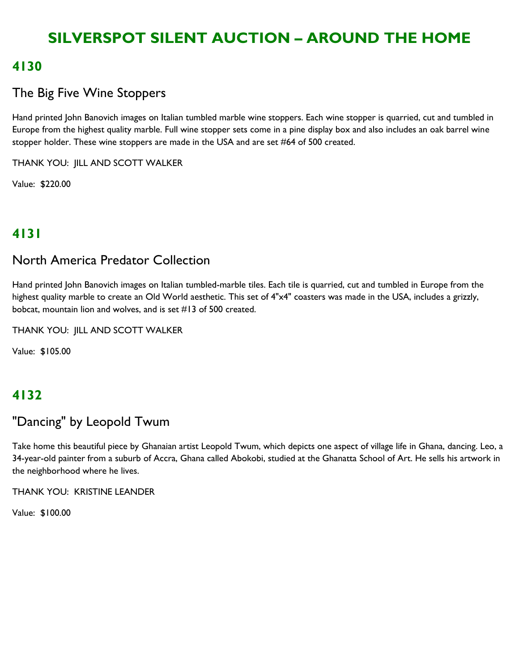### **4130**

## The Big Five Wine Stoppers

Hand printed John Banovich images on Italian tumbled marble wine stoppers. Each wine stopper is quarried, cut and tumbled in Europe from the highest quality marble. Full wine stopper sets come in a pine display box and also includes an oak barrel wine stopper holder. These wine stoppers are made in the USA and are set #64 of 500 created.

THANK YOU: JILL AND SCOTT WALKER

Value: \$220.00

## **4131**

### North America Predator Collection

Hand printed John Banovich images on Italian tumbled-marble tiles. Each tile is quarried, cut and tumbled in Europe from the highest quality marble to create an Old World aesthetic. This set of 4"x4" coasters was made in the USA, includes a grizzly, bobcat, mountain lion and wolves, and is set #13 of 500 created.

THANK YOU: JILL AND SCOTT WALKER

Value: \$105.00

## **4132**

## "Dancing" by Leopold Twum

Take home this beautiful piece by Ghanaian artist Leopold Twum, which depicts one aspect of village life in Ghana, dancing. Leo, a 34-year-old painter from a suburb of Accra, Ghana called Abokobi, studied at the Ghanatta School of Art. He sells his artwork in the neighborhood where he lives.

THANK YOU: KRISTINE LEANDER

Value: \$100.00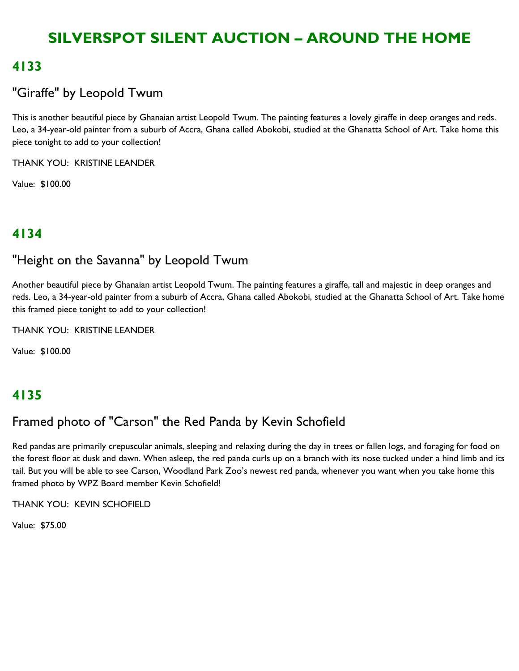### **4133**

## "Giraffe" by Leopold Twum

This is another beautiful piece by Ghanaian artist Leopold Twum. The painting features a lovely giraffe in deep oranges and reds. Leo, a 34-year-old painter from a suburb of Accra, Ghana called Abokobi, studied at the Ghanatta School of Art. Take home this piece tonight to add to your collection!

THANK YOU: KRISTINE LEANDER

Value: \$100.00

### **4134**

### "Height on the Savanna" by Leopold Twum

Another beautiful piece by Ghanaian artist Leopold Twum. The painting features a giraffe, tall and majestic in deep oranges and reds. Leo, a 34-year-old painter from a suburb of Accra, Ghana called Abokobi, studied at the Ghanatta School of Art. Take home this framed piece tonight to add to your collection!

THANK YOU: KRISTINE LEANDER

Value: \$100.00

# **4135**

## Framed photo of "Carson" the Red Panda by Kevin Schofield

Red pandas are primarily crepuscular animals, sleeping and relaxing during the day in trees or fallen logs, and foraging for food on the forest floor at dusk and dawn. When asleep, the red panda curls up on a branch with its nose tucked under a hind limb and its tail. But you will be able to see Carson, Woodland Park Zoo's newest red panda, whenever you want when you take home this framed photo by WPZ Board member Kevin Schofield!

THANK YOU: KEVIN SCHOFIELD

Value: \$75.00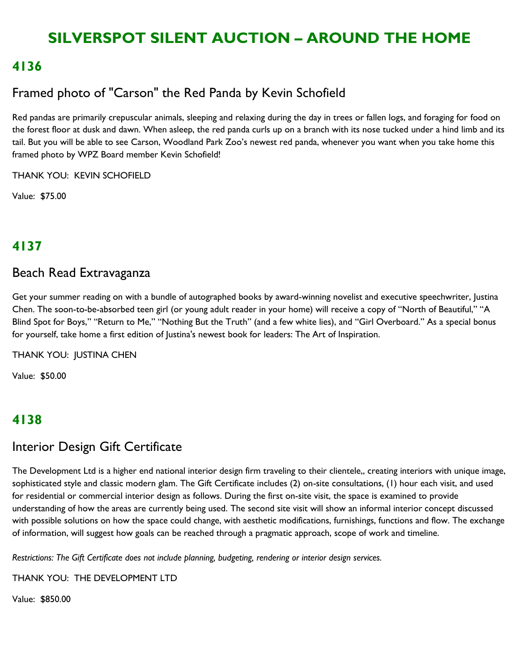### **4136**

## Framed photo of "Carson" the Red Panda by Kevin Schofield

Red pandas are primarily crepuscular animals, sleeping and relaxing during the day in trees or fallen logs, and foraging for food on the forest floor at dusk and dawn. When asleep, the red panda curls up on a branch with its nose tucked under a hind limb and its tail. But you will be able to see Carson, Woodland Park Zoo's newest red panda, whenever you want when you take home this framed photo by WPZ Board member Kevin Schofield!

THANK YOU: KEVIN SCHOFIELD

Value: \$75.00

## **4137**

#### Beach Read Extravaganza

Get your summer reading on with a bundle of autographed books by award-winning novelist and executive speechwriter, Justina Chen. The soon-to-be-absorbed teen girl (or young adult reader in your home) will receive a copy of "North of Beautiful," "A Blind Spot for Boys," "Return to Me," "Nothing But the Truth" (and a few white lies), and "Girl Overboard." As a special bonus for yourself, take home a first edition of Justina's newest book for leaders: The Art of Inspiration.

THANK YOU: JUSTINA CHEN

Value: \$50.00

### **4138**

#### Interior Design Gift Certificate

The Development Ltd is a higher end national interior design firm traveling to their clientele,, creating interiors with unique image, sophisticated style and classic modern glam. The Gift Certificate includes (2) on-site consultations, (1) hour each visit, and used for residential or commercial interior design as follows. During the first on-site visit, the space is examined to provide understanding of how the areas are currently being used. The second site visit will show an informal interior concept discussed with possible solutions on how the space could change, with aesthetic modifications, furnishings, functions and flow. The exchange of information, will suggest how goals can be reached through a pragmatic approach, scope of work and timeline.

*Restrictions: The Gift Certificate does not include planning, budgeting, rendering or interior design services.*

THANK YOU: THE DEVELOPMENT LTD

Value: \$850.00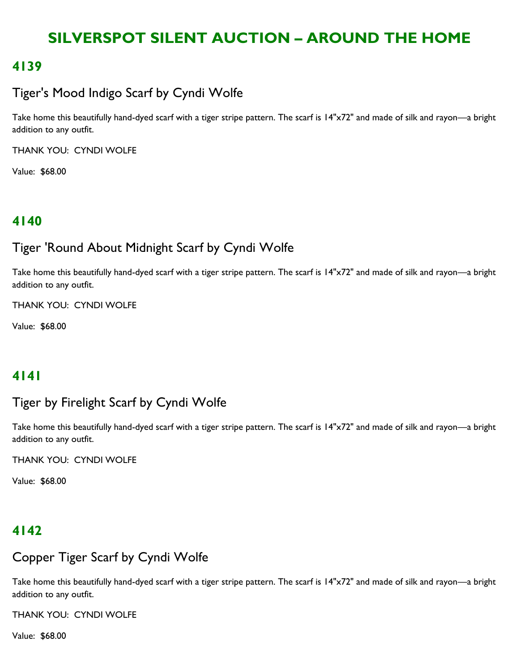### **4139**

## Tiger's Mood Indigo Scarf by Cyndi Wolfe

Take home this beautifully hand-dyed scarf with a tiger stripe pattern. The scarf is 14"x72" and made of silk and rayon—a bright addition to any outfit.

THANK YOU: CYNDI WOLFE

Value: \$68.00

## **4140**

## Tiger 'Round About Midnight Scarf by Cyndi Wolfe

Take home this beautifully hand-dyed scarf with a tiger stripe pattern. The scarf is 14"x72" and made of silk and rayon—a bright addition to any outfit.

THANK YOU: CYNDI WOLFE

Value: \$68.00

## **4141**

### Tiger by Firelight Scarf by Cyndi Wolfe

Take home this beautifully hand-dyed scarf with a tiger stripe pattern. The scarf is 14"x72" and made of silk and rayon—a bright addition to any outfit.

THANK YOU: CYNDI WOLFE

Value: \$68.00

### **4142**

### Copper Tiger Scarf by Cyndi Wolfe

Take home this beautifully hand-dyed scarf with a tiger stripe pattern. The scarf is 14"x72" and made of silk and rayon—a bright addition to any outfit.

THANK YOU: CYNDI WOLFE

Value: \$68.00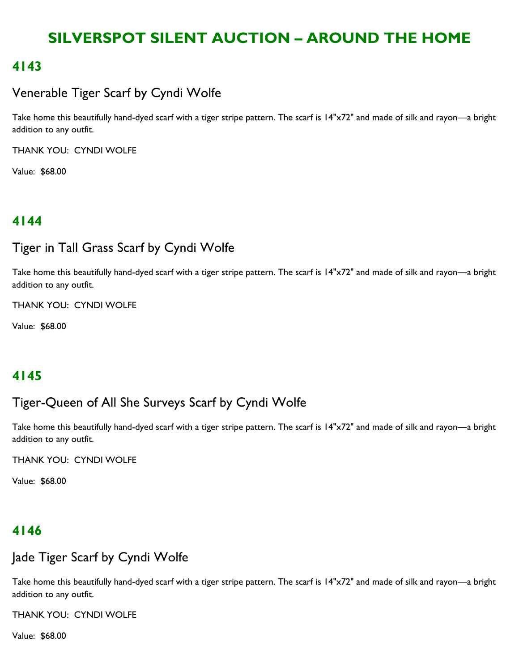### **4143**

# Venerable Tiger Scarf by Cyndi Wolfe

Take home this beautifully hand-dyed scarf with a tiger stripe pattern. The scarf is 14"x72" and made of silk and rayon—a bright addition to any outfit.

THANK YOU: CYNDI WOLFE

Value: \$68.00

## **4144**

### Tiger in Tall Grass Scarf by Cyndi Wolfe

Take home this beautifully hand-dyed scarf with a tiger stripe pattern. The scarf is 14"x72" and made of silk and rayon—a bright addition to any outfit.

THANK YOU: CYNDI WOLFE

Value: \$68.00

## **4145**

## Tiger-Queen of All She Surveys Scarf by Cyndi Wolfe

Take home this beautifully hand-dyed scarf with a tiger stripe pattern. The scarf is 14"x72" and made of silk and rayon—a bright addition to any outfit.

THANK YOU: CYNDI WOLFE

Value: \$68.00

### **4146**

### Jade Tiger Scarf by Cyndi Wolfe

Take home this beautifully hand-dyed scarf with a tiger stripe pattern. The scarf is 14"x72" and made of silk and rayon—a bright addition to any outfit.

THANK YOU: CYNDI WOLFE

Value: \$68.00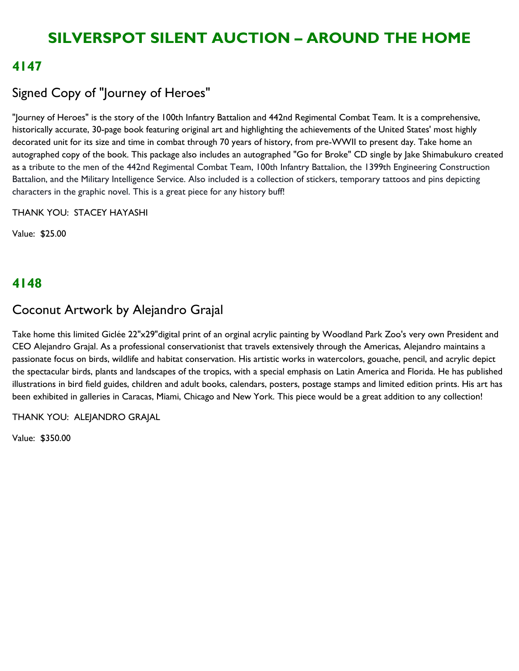### **4147**

# Signed Copy of "Journey of Heroes"

"Journey of Heroes" is the story of the 100th Infantry Battalion and 442nd Regimental Combat Team. It is a comprehensive, historically accurate, 30-page book featuring original art and highlighting the achievements of the United States' most highly decorated unit for its size and time in combat through 70 years of history, from pre-WWII to present day. Take home an autographed copy of the book. This package also includes an autographed "Go for Broke" CD single by Jake Shimabukuro created as a tribute to the men of the 442nd Regimental Combat Team, 100th Infantry Battalion, the 1399th Engineering Construction Battalion, and the Military Intelligence Service. Also included is a collection of stickers, temporary tattoos and pins depicting characters in the graphic novel. This is a great piece for any history buff!

THANK YOU: STACEY HAYASHI

Value: \$25.00

## **4148**

## Coconut Artwork by Alejandro Grajal

Take home this limited Giclée 22"x29"digital print of an orginal acrylic painting by Woodland Park Zoo's very own President and CEO Alejandro Grajal. As a professional conservationist that travels extensively through the Americas, Alejandro maintains a passionate focus on birds, wildlife and habitat conservation. His artistic works in watercolors, gouache, pencil, and acrylic depict the spectacular birds, plants and landscapes of the tropics, with a special emphasis on Latin America and Florida. He has published illustrations in bird field guides, children and adult books, calendars, posters, postage stamps and limited edition prints. His art has been exhibited in galleries in Caracas, Miami, Chicago and New York. This piece would be a great addition to any collection!

THANK YOU: ALEJANDRO GRAJAL

Value: \$350.00